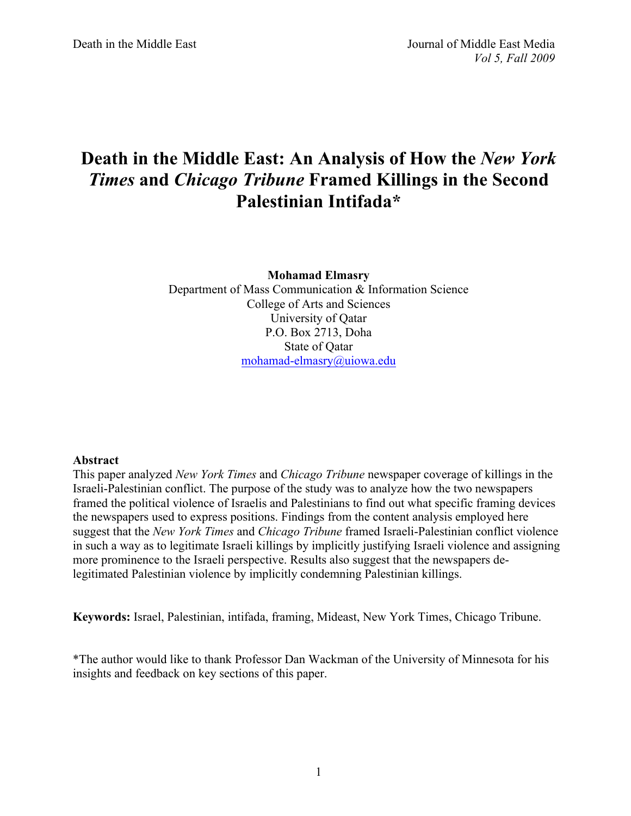# **Death in the Middle East: An Analysis of How the** *New York Times* **and** *Chicago Tribune* **Framed Killings in the Second Palestinian Intifada\***

**Mohamad Elmasry** Department of Mass Communication & Information Science College of Arts and Sciences University of Qatar P.O. Box 2713, Doha State of Qatar mohamad-elmasry@uiowa.edu

#### **Abstract**

This paper analyzed *New York Times* and *Chicago Tribune* newspaper coverage of killings in the Israeli-Palestinian conflict. The purpose of the study was to analyze how the two newspapers framed the political violence of Israelis and Palestinians to find out what specific framing devices the newspapers used to express positions. Findings from the content analysis employed here suggest that the *New York Times* and *Chicago Tribune* framed Israeli-Palestinian conflict violence in such a way as to legitimate Israeli killings by implicitly justifying Israeli violence and assigning more prominence to the Israeli perspective. Results also suggest that the newspapers delegitimated Palestinian violence by implicitly condemning Palestinian killings.

**Keywords:** Israel, Palestinian, intifada, framing, Mideast, New York Times, Chicago Tribune.

\*The author would like to thank Professor Dan Wackman of the University of Minnesota for his insights and feedback on key sections of this paper.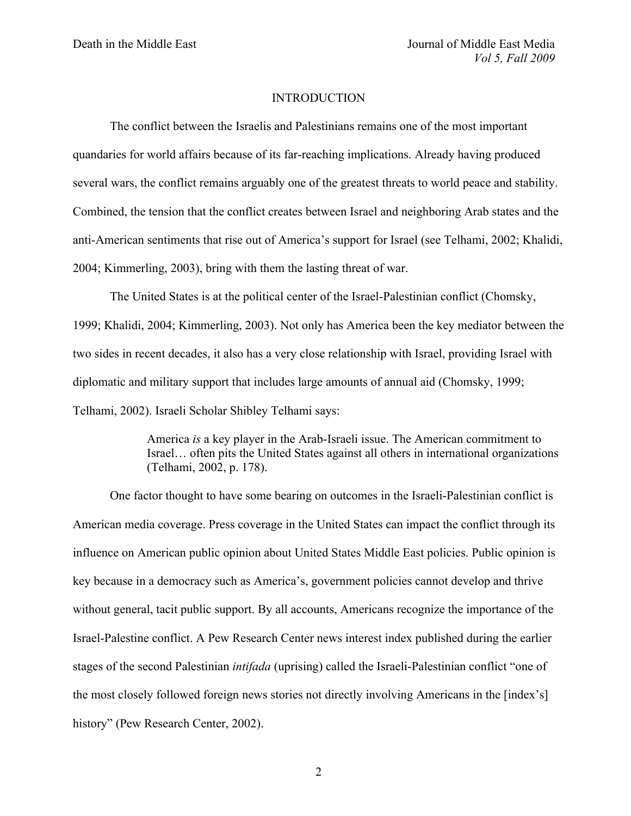#### INTRODUCTION

The conflict between the Israelis and Palestinians remains one of the most important quandaries for world affairs because of its far-reaching implications. Already having produced several wars, the conflict remains arguably one of the greatest threats to world peace and stability. Combined, the tension that the conflict creates between Israel and neighboring Arab states and the anti-American sentiments that rise out of America's support for Israel (see Telhami, 2002; Khalidi, 2004; Kimmerling, 2003), bring with them the lasting threat of war.

The United States is at the political center of the Israel-Palestinian conflict (Chomsky, 1999; Khalidi, 2004; Kimmerling, 2003). Not only has America been the key mediator between the two sides in recent decades, it also has a very close relationship with Israel, providing Israel with diplomatic and military support that includes large amounts of annual aid (Chomsky, 1999; Telhami, 2002). Israeli Scholar Shibley Telhami says:

> America *is* a key player in the Arab-Israeli issue. The American commitment to Israel… often pits the United States against all others in international organizations (Telhami, 2002, p. 178).

One factor thought to have some bearing on outcomes in the Israeli-Palestinian conflict is American media coverage. Press coverage in the United States can impact the conflict through its influence on American public opinion about United States Middle East policies. Public opinion is key because in a democracy such as America's, government policies cannot develop and thrive without general, tacit public support. By all accounts, Americans recognize the importance of the Israel-Palestine conflict. A Pew Research Center news interest index published during the earlier stages of the second Palestinian *intifada* (uprising) called the Israeli-Palestinian conflict "one of the most closely followed foreign news stories not directly involving Americans in the [index's] history" (Pew Research Center, 2002).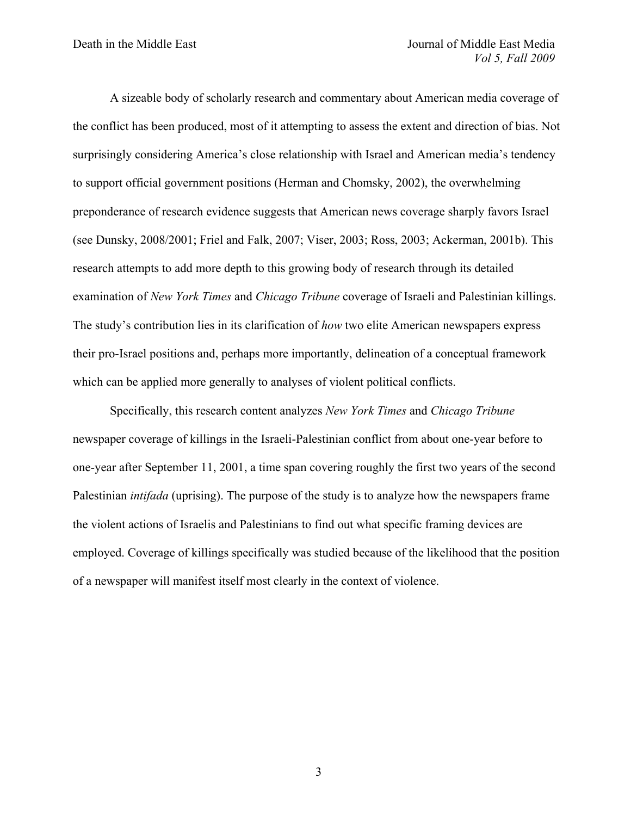A sizeable body of scholarly research and commentary about American media coverage of the conflict has been produced, most of it attempting to assess the extent and direction of bias. Not surprisingly considering America's close relationship with Israel and American media's tendency to support official government positions (Herman and Chomsky, 2002), the overwhelming preponderance of research evidence suggests that American news coverage sharply favors Israel (see Dunsky, 2008/2001; Friel and Falk, 2007; Viser, 2003; Ross, 2003; Ackerman, 2001b). This research attempts to add more depth to this growing body of research through its detailed examination of *New York Times* and *Chicago Tribune* coverage of Israeli and Palestinian killings. The study's contribution lies in its clarification of *how* two elite American newspapers express their pro-Israel positions and, perhaps more importantly, delineation of a conceptual framework which can be applied more generally to analyses of violent political conflicts.

Specifically, this research content analyzes *New York Times* and *Chicago Tribune* newspaper coverage of killings in the Israeli-Palestinian conflict from about one-year before to one-year after September 11, 2001, a time span covering roughly the first two years of the second Palestinian *intifada* (uprising). The purpose of the study is to analyze how the newspapers frame the violent actions of Israelis and Palestinians to find out what specific framing devices are employed. Coverage of killings specifically was studied because of the likelihood that the position of a newspaper will manifest itself most clearly in the context of violence.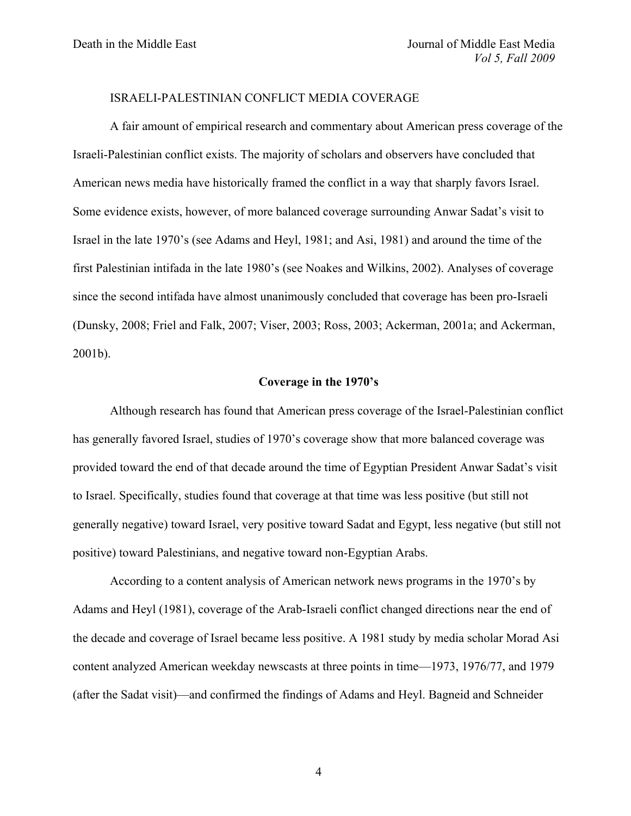#### ISRAELI-PALESTINIAN CONFLICT MEDIA COVERAGE

A fair amount of empirical research and commentary about American press coverage of the Israeli-Palestinian conflict exists. The majority of scholars and observers have concluded that American news media have historically framed the conflict in a way that sharply favors Israel. Some evidence exists, however, of more balanced coverage surrounding Anwar Sadat's visit to Israel in the late 1970's (see Adams and Heyl, 1981; and Asi, 1981) and around the time of the first Palestinian intifada in the late 1980's (see Noakes and Wilkins, 2002). Analyses of coverage since the second intifada have almost unanimously concluded that coverage has been pro-Israeli (Dunsky, 2008; Friel and Falk, 2007; Viser, 2003; Ross, 2003; Ackerman, 2001a; and Ackerman, 2001b).

#### **Coverage in the 1970's**

Although research has found that American press coverage of the Israel-Palestinian conflict has generally favored Israel, studies of 1970's coverage show that more balanced coverage was provided toward the end of that decade around the time of Egyptian President Anwar Sadat's visit to Israel. Specifically, studies found that coverage at that time was less positive (but still not generally negative) toward Israel, very positive toward Sadat and Egypt, less negative (but still not positive) toward Palestinians, and negative toward non-Egyptian Arabs.

According to a content analysis of American network news programs in the 1970's by Adams and Heyl (1981), coverage of the Arab-Israeli conflict changed directions near the end of the decade and coverage of Israel became less positive. A 1981 study by media scholar Morad Asi content analyzed American weekday newscasts at three points in time—1973, 1976/77, and 1979 (after the Sadat visit)—and confirmed the findings of Adams and Heyl. Bagneid and Schneider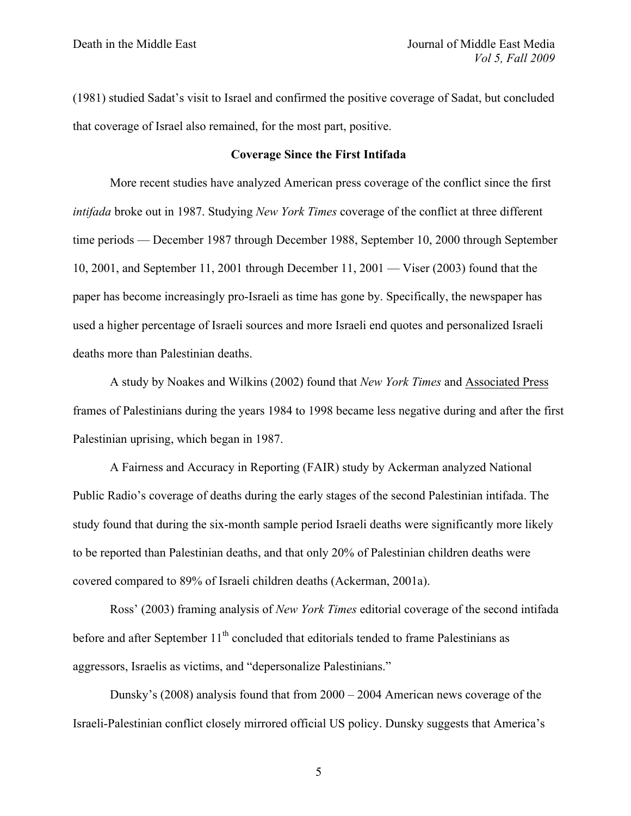(1981) studied Sadat's visit to Israel and confirmed the positive coverage of Sadat, but concluded that coverage of Israel also remained, for the most part, positive.

#### **Coverage Since the First Intifada**

More recent studies have analyzed American press coverage of the conflict since the first *intifada* broke out in 1987. Studying *New York Times* coverage of the conflict at three different time periods — December 1987 through December 1988, September 10, 2000 through September 10, 2001, and September 11, 2001 through December 11, 2001 — Viser (2003) found that the paper has become increasingly pro-Israeli as time has gone by. Specifically, the newspaper has used a higher percentage of Israeli sources and more Israeli end quotes and personalized Israeli deaths more than Palestinian deaths.

A study by Noakes and Wilkins (2002) found that *New York Times* and Associated Press frames of Palestinians during the years 1984 to 1998 became less negative during and after the first Palestinian uprising, which began in 1987.

A Fairness and Accuracy in Reporting (FAIR) study by Ackerman analyzed National Public Radio's coverage of deaths during the early stages of the second Palestinian intifada. The study found that during the six-month sample period Israeli deaths were significantly more likely to be reported than Palestinian deaths, and that only 20% of Palestinian children deaths were covered compared to 89% of Israeli children deaths (Ackerman, 2001a).

Ross' (2003) framing analysis of *New York Times* editorial coverage of the second intifada before and after September  $11<sup>th</sup>$  concluded that editorials tended to frame Palestinians as aggressors, Israelis as victims, and "depersonalize Palestinians."

Dunsky's (2008) analysis found that from 2000 – 2004 American news coverage of the Israeli-Palestinian conflict closely mirrored official US policy. Dunsky suggests that America's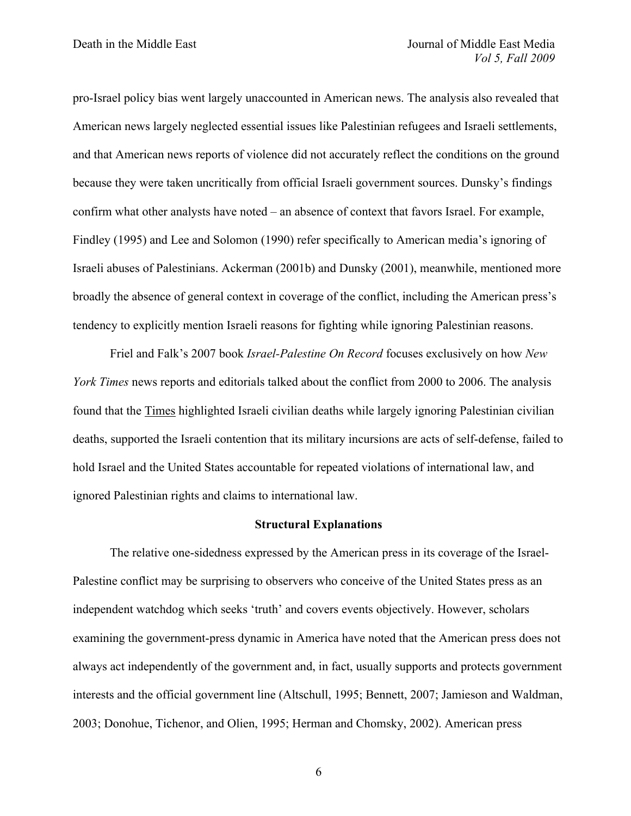pro-Israel policy bias went largely unaccounted in American news. The analysis also revealed that American news largely neglected essential issues like Palestinian refugees and Israeli settlements, and that American news reports of violence did not accurately reflect the conditions on the ground because they were taken uncritically from official Israeli government sources. Dunsky's findings confirm what other analysts have noted – an absence of context that favors Israel. For example, Findley (1995) and Lee and Solomon (1990) refer specifically to American media's ignoring of Israeli abuses of Palestinians. Ackerman (2001b) and Dunsky (2001), meanwhile, mentioned more broadly the absence of general context in coverage of the conflict, including the American press's tendency to explicitly mention Israeli reasons for fighting while ignoring Palestinian reasons.

Friel and Falk's 2007 book *Israel-Palestine On Record* focuses exclusively on how *New York Times* news reports and editorials talked about the conflict from 2000 to 2006. The analysis found that the Times highlighted Israeli civilian deaths while largely ignoring Palestinian civilian deaths, supported the Israeli contention that its military incursions are acts of self-defense, failed to hold Israel and the United States accountable for repeated violations of international law, and ignored Palestinian rights and claims to international law.

#### **Structural Explanations**

The relative one-sidedness expressed by the American press in its coverage of the Israel-Palestine conflict may be surprising to observers who conceive of the United States press as an independent watchdog which seeks 'truth' and covers events objectively. However, scholars examining the government-press dynamic in America have noted that the American press does not always act independently of the government and, in fact, usually supports and protects government interests and the official government line (Altschull, 1995; Bennett, 2007; Jamieson and Waldman, 2003; Donohue, Tichenor, and Olien, 1995; Herman and Chomsky, 2002). American press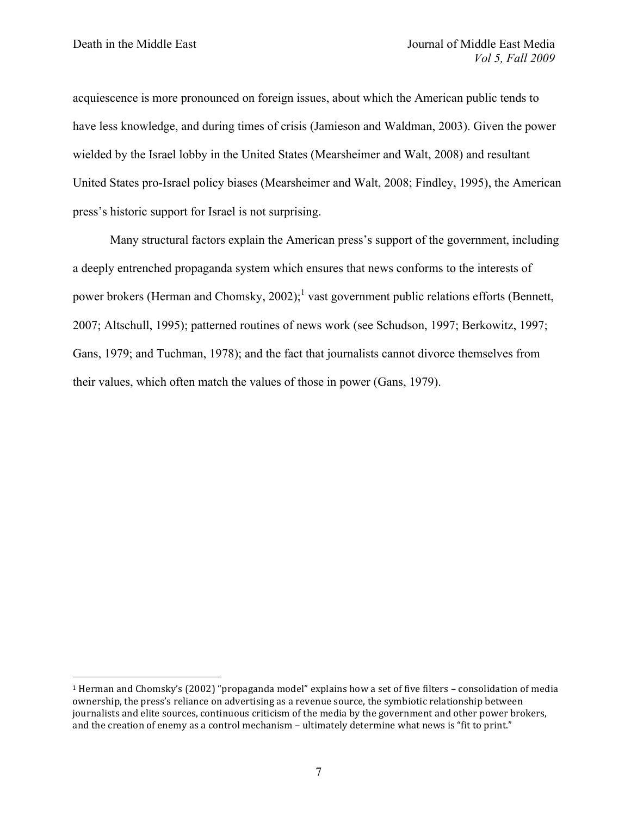acquiescence is more pronounced on foreign issues, about which the American public tends to have less knowledge, and during times of crisis (Jamieson and Waldman, 2003). Given the power wielded by the Israel lobby in the United States (Mearsheimer and Walt, 2008) and resultant United States pro-Israel policy biases (Mearsheimer and Walt, 2008; Findley, 1995), the American press's historic support for Israel is not surprising.

Many structural factors explain the American press's support of the government, including a deeply entrenched propaganda system which ensures that news conforms to the interests of power brokers (Herman and Chomsky,  $2002$ );<sup>1</sup> vast government public relations efforts (Bennett, 2007; Altschull, 1995); patterned routines of news work (see Schudson, 1997; Berkowitz, 1997; Gans, 1979; and Tuchman, 1978); and the fact that journalists cannot divorce themselves from their values, which often match the values of those in power (Gans, 1979).

 $1$  Herman and Chomsky's (2002) "propaganda model" explains how a set of five filters – consolidation of media ownership, the press's reliance on advertising as a revenue source, the symbiotic relationship between journalists and elite sources, continuous criticism of the media by the government and other power brokers, and the creation of enemy as a control mechanism - ultimately determine what news is "fit to print."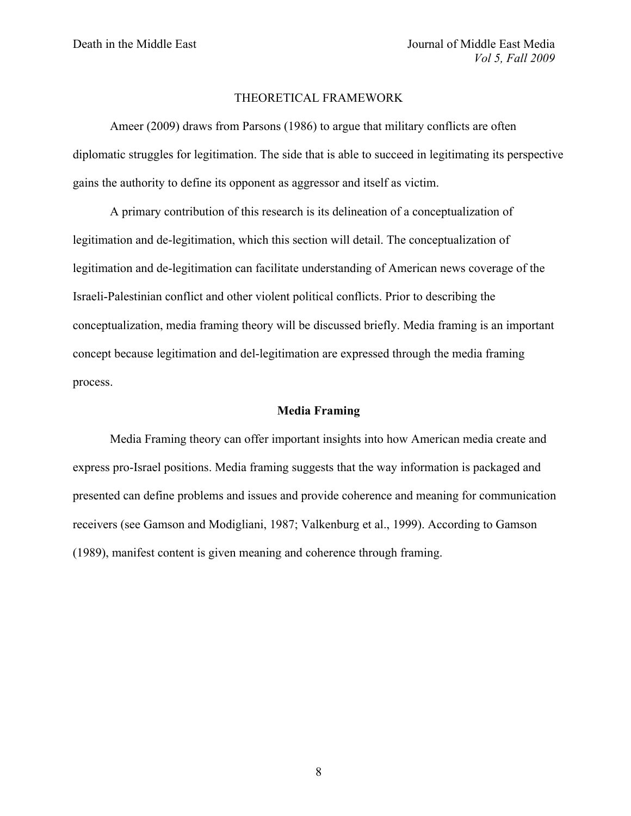#### THEORETICAL FRAMEWORK

Ameer (2009) draws from Parsons (1986) to argue that military conflicts are often diplomatic struggles for legitimation. The side that is able to succeed in legitimating its perspective gains the authority to define its opponent as aggressor and itself as victim.

A primary contribution of this research is its delineation of a conceptualization of legitimation and de-legitimation, which this section will detail. The conceptualization of legitimation and de-legitimation can facilitate understanding of American news coverage of the Israeli-Palestinian conflict and other violent political conflicts. Prior to describing the conceptualization, media framing theory will be discussed briefly. Media framing is an important concept because legitimation and del-legitimation are expressed through the media framing process.

#### **Media Framing**

Media Framing theory can offer important insights into how American media create and express pro-Israel positions. Media framing suggests that the way information is packaged and presented can define problems and issues and provide coherence and meaning for communication receivers (see Gamson and Modigliani, 1987; Valkenburg et al., 1999). According to Gamson (1989), manifest content is given meaning and coherence through framing.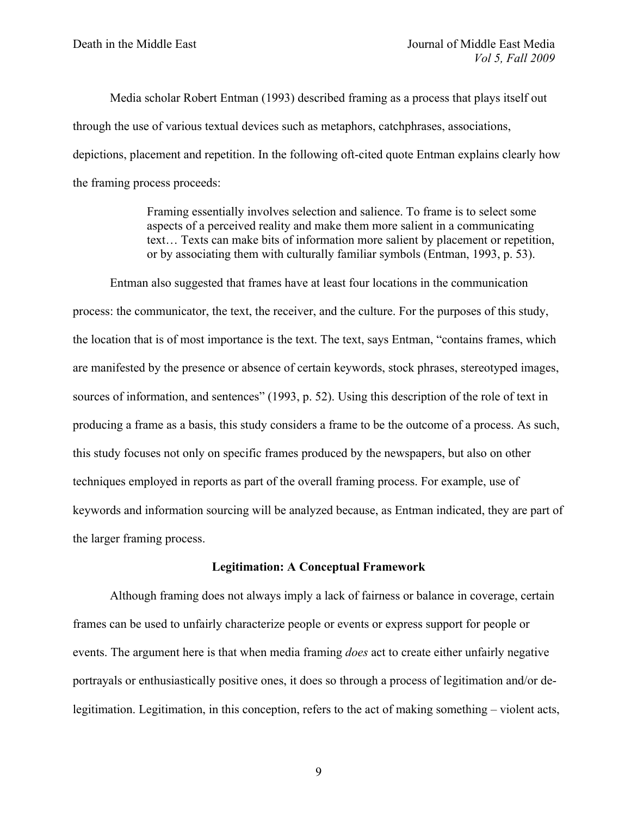Media scholar Robert Entman (1993) described framing as a process that plays itself out through the use of various textual devices such as metaphors, catchphrases, associations, depictions, placement and repetition. In the following oft-cited quote Entman explains clearly how the framing process proceeds:

> Framing essentially involves selection and salience. To frame is to select some aspects of a perceived reality and make them more salient in a communicating text… Texts can make bits of information more salient by placement or repetition, or by associating them with culturally familiar symbols (Entman, 1993, p. 53).

Entman also suggested that frames have at least four locations in the communication process: the communicator, the text, the receiver, and the culture. For the purposes of this study, the location that is of most importance is the text. The text, says Entman, "contains frames, which are manifested by the presence or absence of certain keywords, stock phrases, stereotyped images, sources of information, and sentences" (1993, p. 52). Using this description of the role of text in producing a frame as a basis, this study considers a frame to be the outcome of a process. As such, this study focuses not only on specific frames produced by the newspapers, but also on other techniques employed in reports as part of the overall framing process. For example, use of keywords and information sourcing will be analyzed because, as Entman indicated, they are part of the larger framing process.

#### **Legitimation: A Conceptual Framework**

Although framing does not always imply a lack of fairness or balance in coverage, certain frames can be used to unfairly characterize people or events or express support for people or events. The argument here is that when media framing *does* act to create either unfairly negative portrayals or enthusiastically positive ones, it does so through a process of legitimation and/or delegitimation. Legitimation, in this conception, refers to the act of making something – violent acts,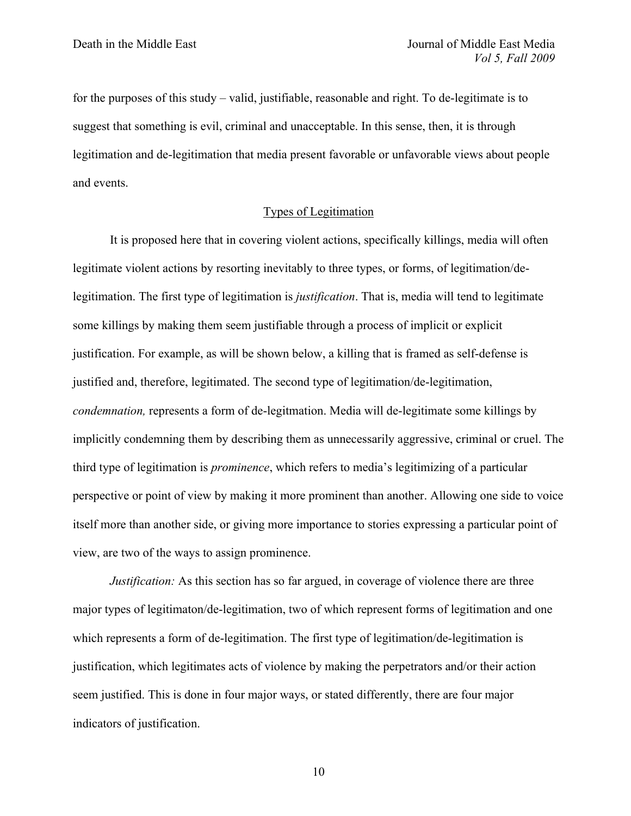for the purposes of this study – valid, justifiable, reasonable and right. To de-legitimate is to suggest that something is evil, criminal and unacceptable. In this sense, then, it is through legitimation and de-legitimation that media present favorable or unfavorable views about people and events.

#### Types of Legitimation

It is proposed here that in covering violent actions, specifically killings, media will often legitimate violent actions by resorting inevitably to three types, or forms, of legitimation/delegitimation. The first type of legitimation is *justification*. That is, media will tend to legitimate some killings by making them seem justifiable through a process of implicit or explicit justification. For example, as will be shown below, a killing that is framed as self-defense is justified and, therefore, legitimated. The second type of legitimation/de-legitimation, *condemnation,* represents a form of de-legitmation. Media will de-legitimate some killings by implicitly condemning them by describing them as unnecessarily aggressive, criminal or cruel. The third type of legitimation is *prominence*, which refers to media's legitimizing of a particular perspective or point of view by making it more prominent than another. Allowing one side to voice itself more than another side, or giving more importance to stories expressing a particular point of view, are two of the ways to assign prominence.

*Justification:* As this section has so far argued, in coverage of violence there are three major types of legitimaton/de-legitimation, two of which represent forms of legitimation and one which represents a form of de-legitimation. The first type of legitimation/de-legitimation is justification, which legitimates acts of violence by making the perpetrators and/or their action seem justified. This is done in four major ways, or stated differently, there are four major indicators of justification.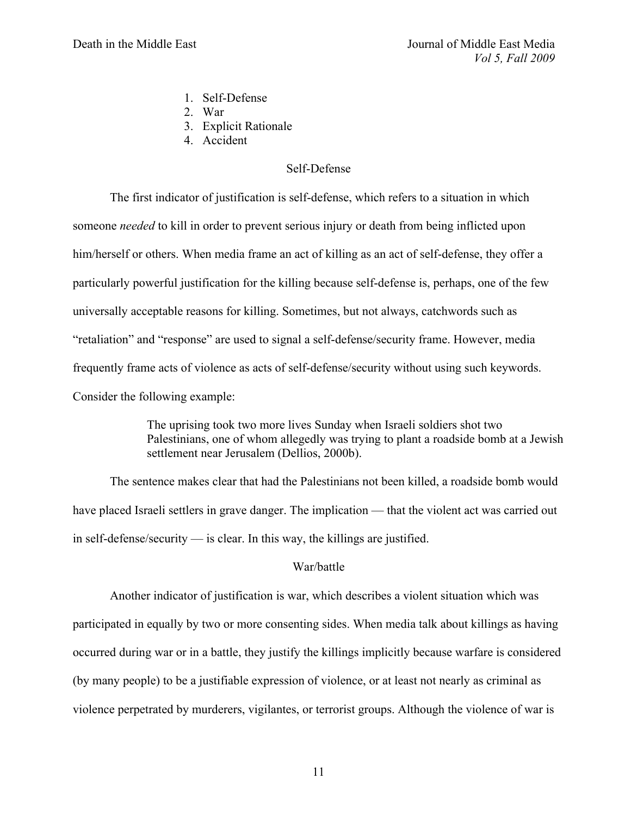- 1. Self-Defense
- 2. War
- 3. Explicit Rationale
- 4. Accident

#### Self-Defense

The first indicator of justification is self-defense, which refers to a situation in which someone *needed* to kill in order to prevent serious injury or death from being inflicted upon him/herself or others. When media frame an act of killing as an act of self-defense, they offer a particularly powerful justification for the killing because self-defense is, perhaps, one of the few universally acceptable reasons for killing. Sometimes, but not always, catchwords such as "retaliation" and "response" are used to signal a self-defense/security frame. However, media frequently frame acts of violence as acts of self-defense/security without using such keywords. Consider the following example:

> The uprising took two more lives Sunday when Israeli soldiers shot two Palestinians, one of whom allegedly was trying to plant a roadside bomb at a Jewish settlement near Jerusalem (Dellios, 2000b).

The sentence makes clear that had the Palestinians not been killed, a roadside bomb would have placed Israeli settlers in grave danger. The implication — that the violent act was carried out in self-defense/security — is clear. In this way, the killings are justified.

#### War/battle

Another indicator of justification is war, which describes a violent situation which was participated in equally by two or more consenting sides. When media talk about killings as having occurred during war or in a battle, they justify the killings implicitly because warfare is considered (by many people) to be a justifiable expression of violence, or at least not nearly as criminal as violence perpetrated by murderers, vigilantes, or terrorist groups. Although the violence of war is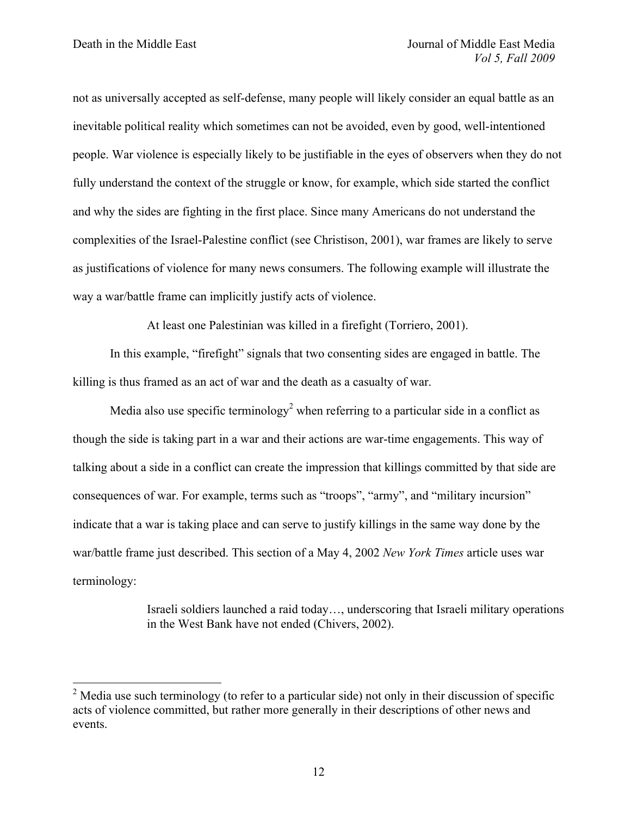not as universally accepted as self-defense, many people will likely consider an equal battle as an inevitable political reality which sometimes can not be avoided, even by good, well-intentioned people. War violence is especially likely to be justifiable in the eyes of observers when they do not fully understand the context of the struggle or know, for example, which side started the conflict and why the sides are fighting in the first place. Since many Americans do not understand the complexities of the Israel-Palestine conflict (see Christison, 2001), war frames are likely to serve as justifications of violence for many news consumers. The following example will illustrate the way a war/battle frame can implicitly justify acts of violence.

At least one Palestinian was killed in a firefight (Torriero, 2001).

In this example, "firefight" signals that two consenting sides are engaged in battle. The killing is thus framed as an act of war and the death as a casualty of war.

Media also use specific terminology<sup>2</sup> when referring to a particular side in a conflict as though the side is taking part in a war and their actions are war-time engagements. This way of talking about a side in a conflict can create the impression that killings committed by that side are consequences of war. For example, terms such as "troops", "army", and "military incursion" indicate that a war is taking place and can serve to justify killings in the same way done by the war/battle frame just described. This section of a May 4, 2002 *New York Times* article uses war terminology:

> Israeli soldiers launched a raid today…, underscoring that Israeli military operations in the West Bank have not ended (Chivers, 2002).

 $2 \text{ Media}$  use such terminology (to refer to a particular side) not only in their discussion of specific acts of violence committed, but rather more generally in their descriptions of other news and events.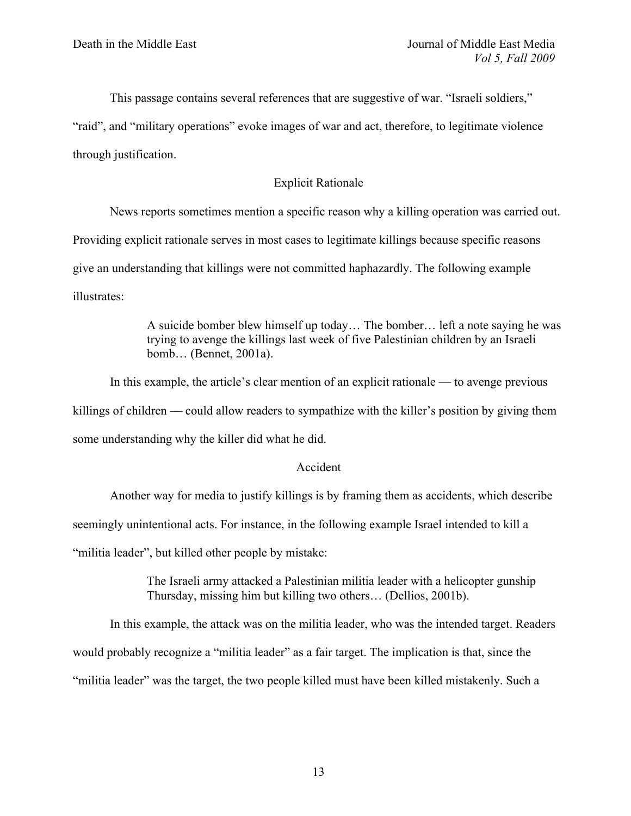This passage contains several references that are suggestive of war. "Israeli soldiers,"

"raid", and "military operations" evoke images of war and act, therefore, to legitimate violence through justification.

# Explicit Rationale

News reports sometimes mention a specific reason why a killing operation was carried out. Providing explicit rationale serves in most cases to legitimate killings because specific reasons give an understanding that killings were not committed haphazardly. The following example illustrates:

> A suicide bomber blew himself up today… The bomber… left a note saying he was trying to avenge the killings last week of five Palestinian children by an Israeli bomb… (Bennet, 2001a).

In this example, the article's clear mention of an explicit rationale — to avenge previous killings of children — could allow readers to sympathize with the killer's position by giving them some understanding why the killer did what he did.

# Accident

Another way for media to justify killings is by framing them as accidents, which describe

seemingly unintentional acts. For instance, in the following example Israel intended to kill a

"militia leader", but killed other people by mistake:

The Israeli army attacked a Palestinian militia leader with a helicopter gunship Thursday, missing him but killing two others… (Dellios, 2001b).

In this example, the attack was on the militia leader, who was the intended target. Readers

would probably recognize a "militia leader" as a fair target. The implication is that, since the

"militia leader" was the target, the two people killed must have been killed mistakenly. Such a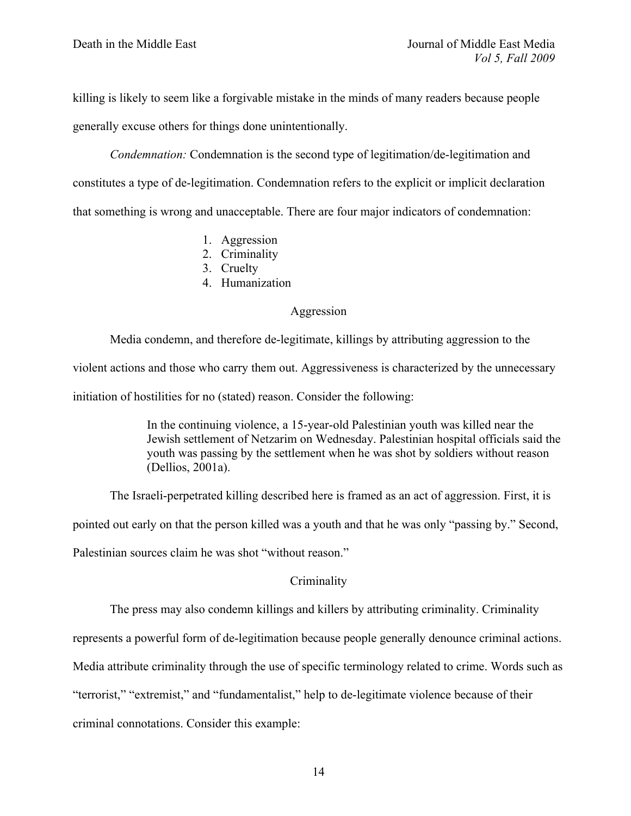killing is likely to seem like a forgivable mistake in the minds of many readers because people generally excuse others for things done unintentionally.

*Condemnation:* Condemnation is the second type of legitimation/de-legitimation and constitutes a type of de-legitimation. Condemnation refers to the explicit or implicit declaration that something is wrong and unacceptable. There are four major indicators of condemnation:

- 1. Aggression
- 2. Criminality
- 3. Cruelty
- 4. Humanization

#### Aggression

Media condemn, and therefore de-legitimate, killings by attributing aggression to the violent actions and those who carry them out. Aggressiveness is characterized by the unnecessary initiation of hostilities for no (stated) reason. Consider the following:

> In the continuing violence, a 15-year-old Palestinian youth was killed near the Jewish settlement of Netzarim on Wednesday. Palestinian hospital officials said the youth was passing by the settlement when he was shot by soldiers without reason (Dellios, 2001a).

The Israeli-perpetrated killing described here is framed as an act of aggression. First, it is

pointed out early on that the person killed was a youth and that he was only "passing by." Second,

Palestinian sources claim he was shot "without reason."

#### **Criminality**

The press may also condemn killings and killers by attributing criminality. Criminality

represents a powerful form of de-legitimation because people generally denounce criminal actions.

Media attribute criminality through the use of specific terminology related to crime. Words such as

"terrorist," "extremist," and "fundamentalist," help to de-legitimate violence because of their

criminal connotations. Consider this example: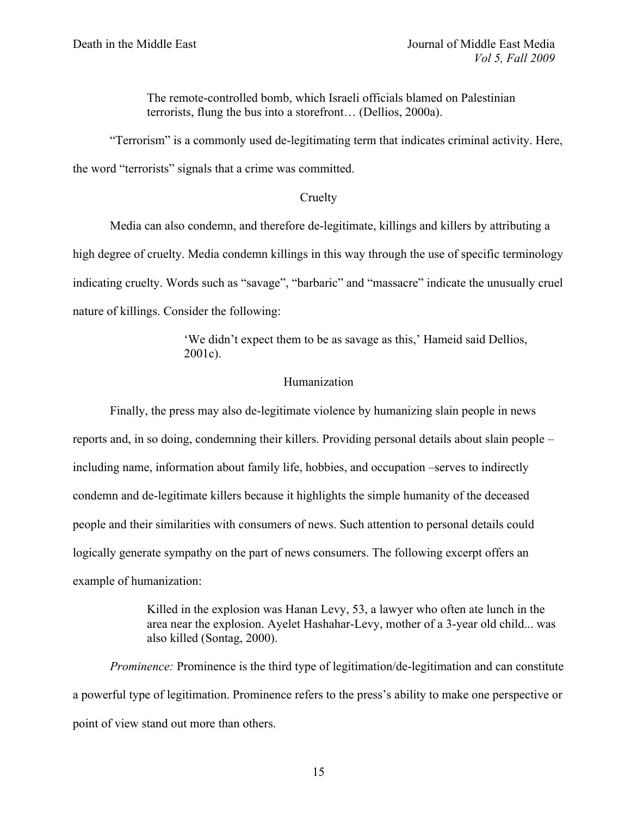The remote-controlled bomb, which Israeli officials blamed on Palestinian terrorists, flung the bus into a storefront… (Dellios, 2000a).

"Terrorism" is a commonly used de-legitimating term that indicates criminal activity. Here, the word "terrorists" signals that a crime was committed.

#### **Cruelty**

Media can also condemn, and therefore de-legitimate, killings and killers by attributing a high degree of cruelty. Media condemn killings in this way through the use of specific terminology indicating cruelty. Words such as "savage", "barbaric" and "massacre" indicate the unusually cruel nature of killings. Consider the following:

> 'We didn't expect them to be as savage as this,' Hameid said Dellios, 2001c).

## Humanization

Finally, the press may also de-legitimate violence by humanizing slain people in news reports and, in so doing, condemning their killers. Providing personal details about slain people – including name, information about family life, hobbies, and occupation –serves to indirectly condemn and de-legitimate killers because it highlights the simple humanity of the deceased people and their similarities with consumers of news. Such attention to personal details could logically generate sympathy on the part of news consumers. The following excerpt offers an example of humanization:

> Killed in the explosion was Hanan Levy, 53, a lawyer who often ate lunch in the area near the explosion. Ayelet Hashahar-Levy, mother of a 3-year old child... was also killed (Sontag, 2000).

*Prominence:* Prominence is the third type of legitimation/de-legitimation and can constitute a powerful type of legitimation. Prominence refers to the press's ability to make one perspective or point of view stand out more than others.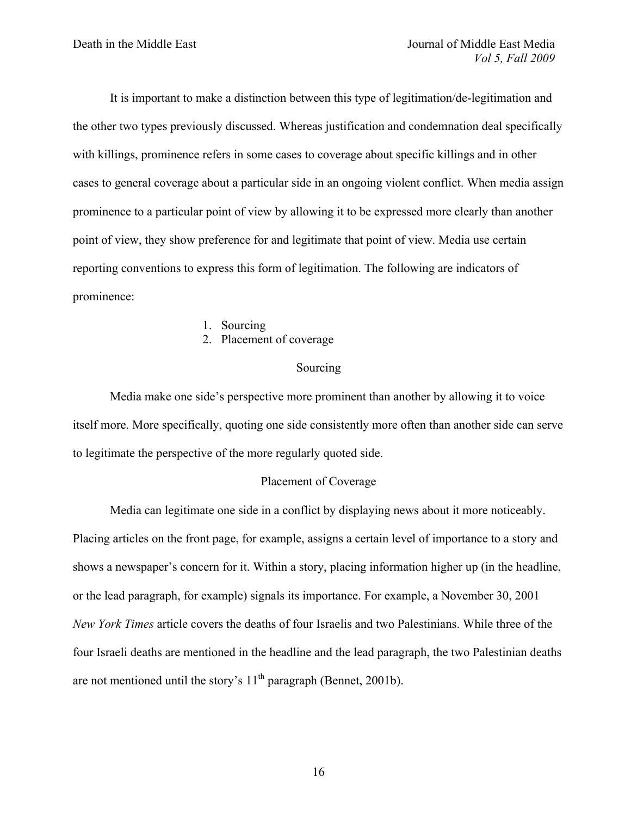It is important to make a distinction between this type of legitimation/de-legitimation and the other two types previously discussed. Whereas justification and condemnation deal specifically with killings, prominence refers in some cases to coverage about specific killings and in other cases to general coverage about a particular side in an ongoing violent conflict. When media assign prominence to a particular point of view by allowing it to be expressed more clearly than another point of view, they show preference for and legitimate that point of view. Media use certain reporting conventions to express this form of legitimation. The following are indicators of prominence:

- 1. Sourcing
- 2. Placement of coverage

#### Sourcing

Media make one side's perspective more prominent than another by allowing it to voice itself more. More specifically, quoting one side consistently more often than another side can serve to legitimate the perspective of the more regularly quoted side.

## Placement of Coverage

Media can legitimate one side in a conflict by displaying news about it more noticeably. Placing articles on the front page, for example, assigns a certain level of importance to a story and shows a newspaper's concern for it. Within a story, placing information higher up (in the headline, or the lead paragraph, for example) signals its importance. For example, a November 30, 2001 *New York Times* article covers the deaths of four Israelis and two Palestinians. While three of the four Israeli deaths are mentioned in the headline and the lead paragraph, the two Palestinian deaths are not mentioned until the story's  $11<sup>th</sup>$  paragraph (Bennet, 2001b).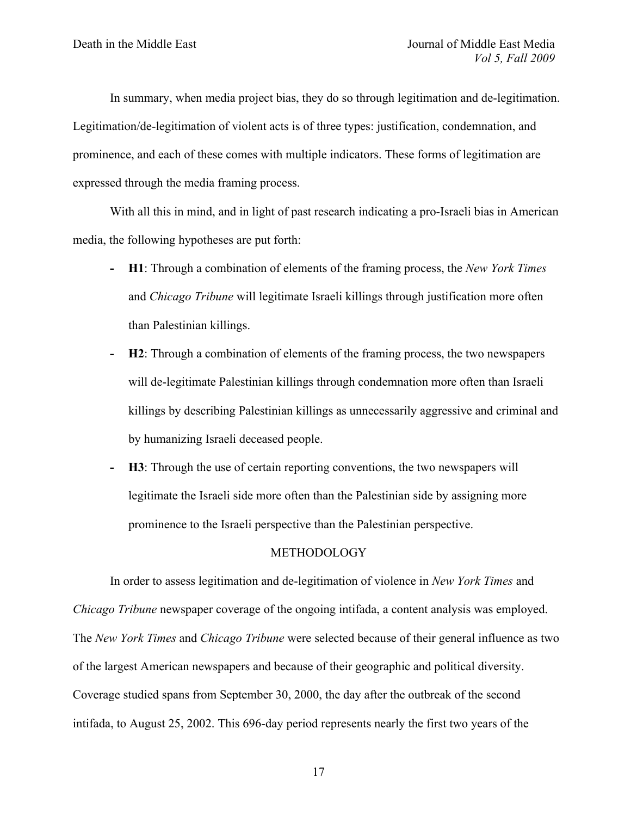In summary, when media project bias, they do so through legitimation and de-legitimation. Legitimation/de-legitimation of violent acts is of three types: justification, condemnation, and prominence, and each of these comes with multiple indicators. These forms of legitimation are expressed through the media framing process.

With all this in mind, and in light of past research indicating a pro-Israeli bias in American media, the following hypotheses are put forth:

- **- H1**: Through a combination of elements of the framing process, the *New York Times* and *Chicago Tribune* will legitimate Israeli killings through justification more often than Palestinian killings.
- **- H2**: Through a combination of elements of the framing process, the two newspapers will de-legitimate Palestinian killings through condemnation more often than Israeli killings by describing Palestinian killings as unnecessarily aggressive and criminal and by humanizing Israeli deceased people.
- **- H3**: Through the use of certain reporting conventions, the two newspapers will legitimate the Israeli side more often than the Palestinian side by assigning more prominence to the Israeli perspective than the Palestinian perspective.

#### METHODOLOGY

In order to assess legitimation and de-legitimation of violence in *New York Times* and *Chicago Tribune* newspaper coverage of the ongoing intifada, a content analysis was employed. The *New York Times* and *Chicago Tribune* were selected because of their general influence as two of the largest American newspapers and because of their geographic and political diversity. Coverage studied spans from September 30, 2000, the day after the outbreak of the second intifada, to August 25, 2002. This 696-day period represents nearly the first two years of the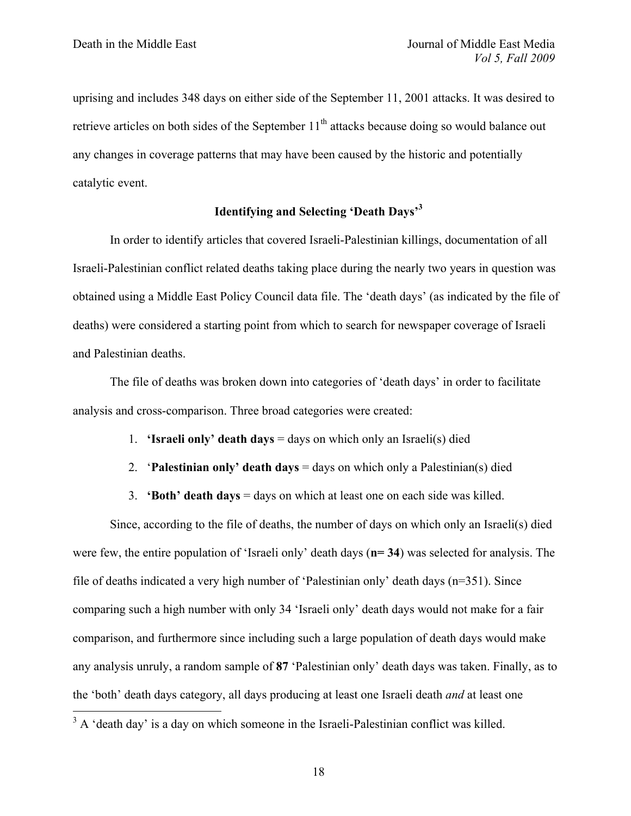uprising and includes 348 days on either side of the September 11, 2001 attacks. It was desired to retrieve articles on both sides of the September  $11<sup>th</sup>$  attacks because doing so would balance out any changes in coverage patterns that may have been caused by the historic and potentially catalytic event.

## **Identifying and Selecting 'Death Days'3**

In order to identify articles that covered Israeli-Palestinian killings, documentation of all Israeli-Palestinian conflict related deaths taking place during the nearly two years in question was obtained using a Middle East Policy Council data file. The 'death days' (as indicated by the file of deaths) were considered a starting point from which to search for newspaper coverage of Israeli and Palestinian deaths.

The file of deaths was broken down into categories of 'death days' in order to facilitate analysis and cross-comparison. Three broad categories were created:

- 1. **'Israeli only' death days** = days on which only an Israeli(s) died
- 2. '**Palestinian only' death days** = days on which only a Palestinian(s) died
- 3. **'Both' death days** = days on which at least one on each side was killed.

Since, according to the file of deaths, the number of days on which only an Israeli(s) died were few, the entire population of 'Israeli only' death days (**n= 34**) was selected for analysis. The file of deaths indicated a very high number of 'Palestinian only' death days (n=351). Since comparing such a high number with only 34 'Israeli only' death days would not make for a fair comparison, and furthermore since including such a large population of death days would make any analysis unruly, a random sample of **87** 'Palestinian only' death days was taken. Finally, as to the 'both' death days category, all days producing at least one Israeli death *and* at least one

 $3 A$  'death day' is a day on which someone in the Israeli-Palestinian conflict was killed.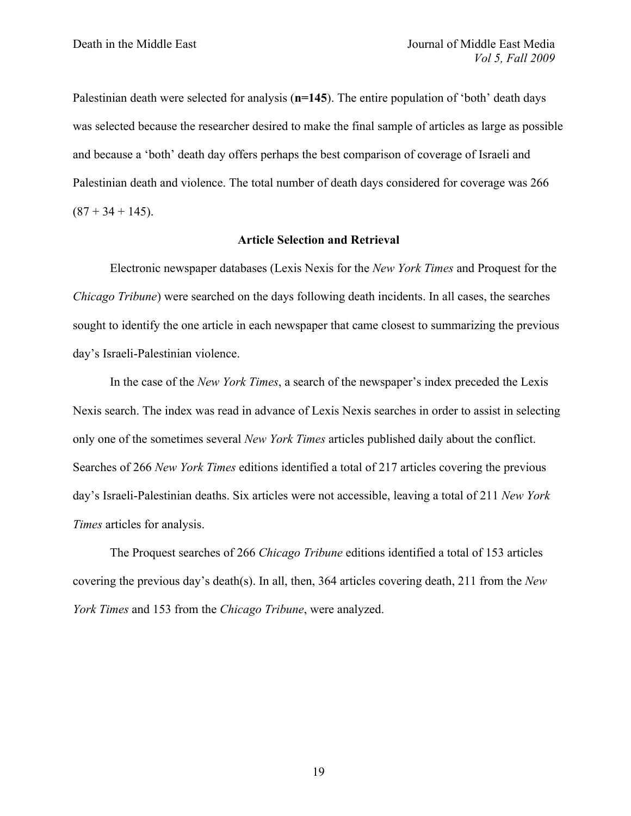Palestinian death were selected for analysis (**n=145**). The entire population of 'both' death days was selected because the researcher desired to make the final sample of articles as large as possible and because a 'both' death day offers perhaps the best comparison of coverage of Israeli and Palestinian death and violence. The total number of death days considered for coverage was 266  $(87 + 34 + 145)$ .

#### **Article Selection and Retrieval**

Electronic newspaper databases (Lexis Nexis for the *New York Times* and Proquest for the *Chicago Tribune*) were searched on the days following death incidents. In all cases, the searches sought to identify the one article in each newspaper that came closest to summarizing the previous day's Israeli-Palestinian violence.

In the case of the *New York Times*, a search of the newspaper's index preceded the Lexis Nexis search. The index was read in advance of Lexis Nexis searches in order to assist in selecting only one of the sometimes several *New York Times* articles published daily about the conflict. Searches of 266 *New York Times* editions identified a total of 217 articles covering the previous day's Israeli-Palestinian deaths. Six articles were not accessible, leaving a total of 211 *New York Times* articles for analysis.

The Proquest searches of 266 *Chicago Tribune* editions identified a total of 153 articles covering the previous day's death(s). In all, then, 364 articles covering death, 211 from the *New York Times* and 153 from the *Chicago Tribune*, were analyzed.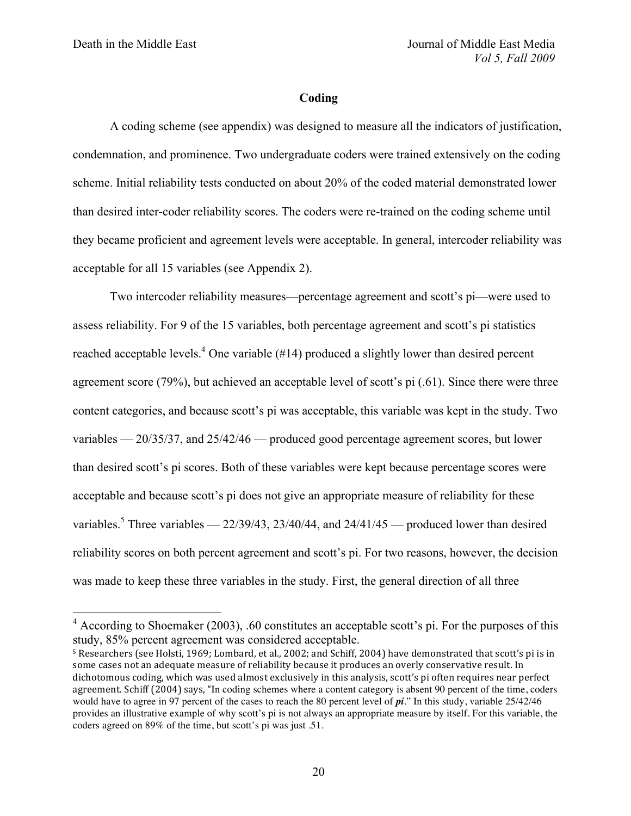#### **Coding**

A coding scheme (see appendix) was designed to measure all the indicators of justification, condemnation, and prominence. Two undergraduate coders were trained extensively on the coding scheme. Initial reliability tests conducted on about 20% of the coded material demonstrated lower than desired inter-coder reliability scores. The coders were re-trained on the coding scheme until they became proficient and agreement levels were acceptable. In general, intercoder reliability was acceptable for all 15 variables (see Appendix 2).

Two intercoder reliability measures—percentage agreement and scott's pi—were used to assess reliability. For 9 of the 15 variables, both percentage agreement and scott's pi statistics reached acceptable levels.<sup>4</sup> One variable ( $#14$ ) produced a slightly lower than desired percent agreement score (79%), but achieved an acceptable level of scott's pi (.61). Since there were three content categories, and because scott's pi was acceptable, this variable was kept in the study. Two variables — 20/35/37, and 25/42/46 — produced good percentage agreement scores, but lower than desired scott's pi scores. Both of these variables were kept because percentage scores were acceptable and because scott's pi does not give an appropriate measure of reliability for these variables.<sup>5</sup> Three variables —  $22/39/43$ ,  $23/40/44$ , and  $24/41/45$  — produced lower than desired reliability scores on both percent agreement and scott's pi. For two reasons, however, the decision was made to keep these three variables in the study. First, the general direction of all three

 <sup>4</sup> According to Shoemaker (2003), .60 constitutes an acceptable scott's pi. For the purposes of this study, 85% percent agreement was considered acceptable.

<sup>&</sup>lt;sup>5</sup> Researchers (see Holsti, 1969; Lombard, et al., 2002; and Schiff, 2004) have demonstrated that scott's pi is in some cases not an adequate measure of reliability because it produces an overly conservative result. In dichotomous coding, which was used almost exclusively in this analysis, scott's pi often requires near perfect agreement. Schiff (2004) says, "In coding schemes where a content category is absent 90 percent of the time, coders would have to agree in 97 percent of the cases to reach the 80 percent level of *pi*." In this study, variable 25/42/46 provides an illustrative example of why scott's pi is not always an appropriate measure by itself. For this variable, the coders agreed on 89% of the time, but scott's pi was just .51.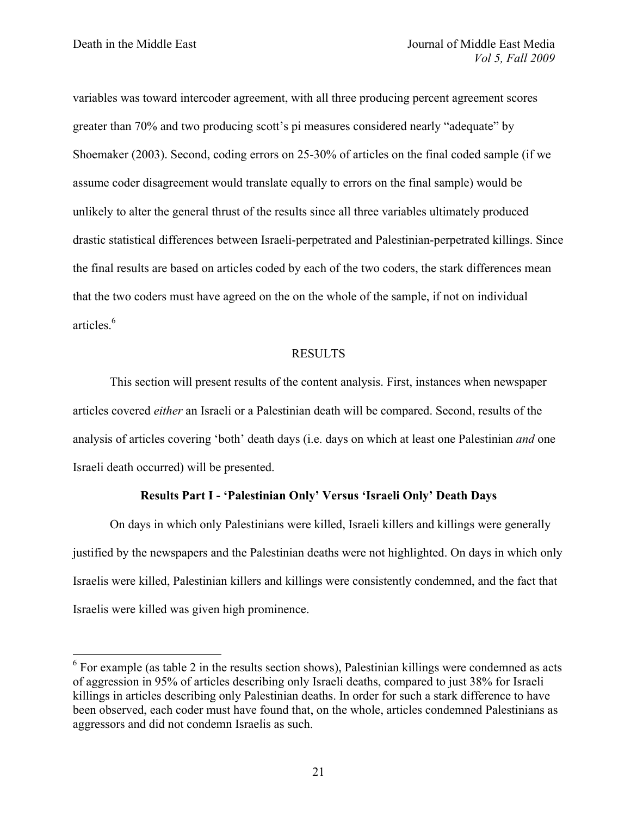variables was toward intercoder agreement, with all three producing percent agreement scores greater than 70% and two producing scott's pi measures considered nearly "adequate" by Shoemaker (2003). Second, coding errors on 25-30% of articles on the final coded sample (if we assume coder disagreement would translate equally to errors on the final sample) would be unlikely to alter the general thrust of the results since all three variables ultimately produced drastic statistical differences between Israeli-perpetrated and Palestinian-perpetrated killings. Since the final results are based on articles coded by each of the two coders, the stark differences mean that the two coders must have agreed on the on the whole of the sample, if not on individual articles  $<sup>6</sup>$ </sup>

## RESULTS

This section will present results of the content analysis. First, instances when newspaper articles covered *either* an Israeli or a Palestinian death will be compared. Second, results of the analysis of articles covering 'both' death days (i.e. days on which at least one Palestinian *and* one Israeli death occurred) will be presented.

## **Results Part I - 'Palestinian Only' Versus 'Israeli Only' Death Days**

On days in which only Palestinians were killed, Israeli killers and killings were generally justified by the newspapers and the Palestinian deaths were not highlighted. On days in which only Israelis were killed, Palestinian killers and killings were consistently condemned, and the fact that Israelis were killed was given high prominence.

 $6$  For example (as table 2 in the results section shows), Palestinian killings were condemned as acts of aggression in 95% of articles describing only Israeli deaths, compared to just 38% for Israeli killings in articles describing only Palestinian deaths. In order for such a stark difference to have been observed, each coder must have found that, on the whole, articles condemned Palestinians as aggressors and did not condemn Israelis as such.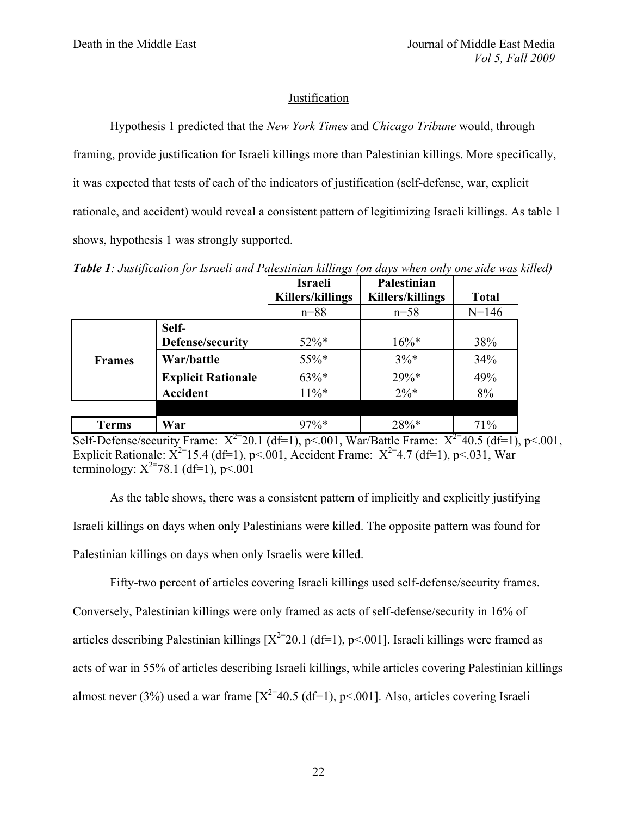## Justification

Hypothesis 1 predicted that the *New York Times* and *Chicago Tribune* would, through framing, provide justification for Israeli killings more than Palestinian killings. More specifically, it was expected that tests of each of the indicators of justification (self-defense, war, explicit rationale, and accident) would reveal a consistent pattern of legitimizing Israeli killings. As table 1 shows, hypothesis 1 was strongly supported.

*Table 1: Justification for Israeli and Palestinian killings (on days when only one side was killed)*

|               |                           | <b>Israeli</b>   | Palestinian             |              |
|---------------|---------------------------|------------------|-------------------------|--------------|
|               |                           | Killers/killings | <b>Killers/killings</b> | <b>Total</b> |
|               |                           | $n = 88$         | $n=58$                  | $N = 146$    |
|               | Self-                     |                  |                         |              |
|               | Defense/security          | $52\%*$          | $16\%*$                 | 38%          |
| <b>Frames</b> | War/battle                | 55%*             | $3\%*$                  | 34%          |
|               | <b>Explicit Rationale</b> | $63\%*$          | $29\%*$                 | 49%          |
|               | <b>Accident</b>           | $11\%*$          | $2\%*$                  | 8%           |
|               |                           |                  |                         |              |
| <b>Terms</b>  | War                       | $97\%*$          | 28%*                    | 71%          |

Self-Defense/security Frame:  $X^{2}$ =20.1 (df=1), p<.001, War/Battle Frame:  $X^{2}$ =40.5 (df=1), p<.001, Explicit Rationale:  $X^{2}=15.4$  (df=1), p<.001, Accident Frame:  $X^{2}=4.7$  (df=1), p<.031, War terminology:  $X^{2=78.1}$  (df=1), p<.001

As the table shows, there was a consistent pattern of implicitly and explicitly justifying Israeli killings on days when only Palestinians were killed. The opposite pattern was found for Palestinian killings on days when only Israelis were killed.

Fifty-two percent of articles covering Israeli killings used self-defense/security frames. Conversely, Palestinian killings were only framed as acts of self-defense/security in 16% of articles describing Palestinian killings  $[X^{2}=20.1 \text{ (df=1)}, p<.001]$ . Israeli killings were framed as acts of war in 55% of articles describing Israeli killings, while articles covering Palestinian killings almost never (3%) used a war frame  $[X^{2}=40.5$  (df=1), p<.001]. Also, articles covering Israeli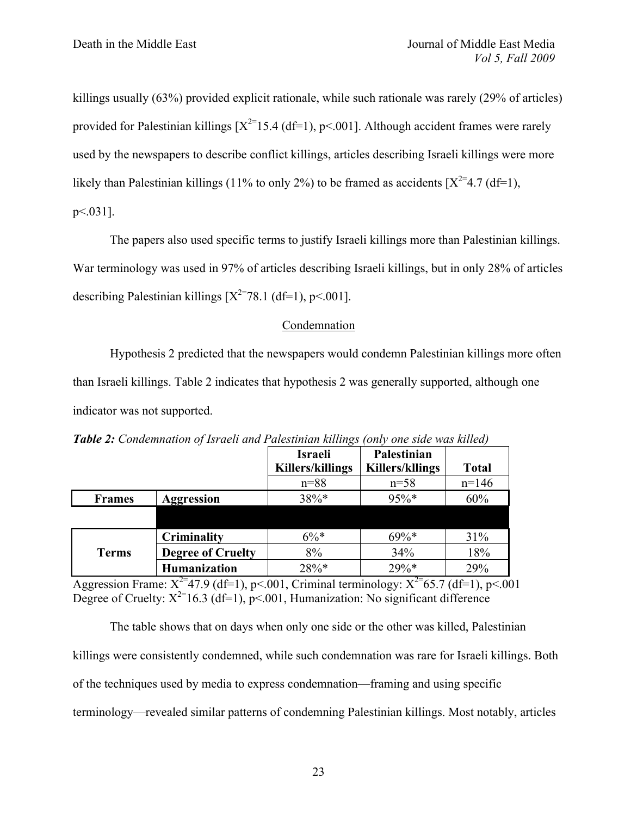killings usually (63%) provided explicit rationale, while such rationale was rarely (29% of articles) provided for Palestinian killings  $[X^{2=1}5.4$  (df=1), p<.001]. Although accident frames were rarely used by the newspapers to describe conflict killings, articles describing Israeli killings were more likely than Palestinian killings (11% to only 2%) to be framed as accidents  $[X^{2} = 4.7 \text{ (df=1)}]$ . p<.031].

The papers also used specific terms to justify Israeli killings more than Palestinian killings. War terminology was used in 97% of articles describing Israeli killings, but in only 28% of articles describing Palestinian killings  $[X^{2=78.1 \text{ (df=1)}}, p<.001]$ .

## Condemnation

Hypothesis 2 predicted that the newspapers would condemn Palestinian killings more often than Israeli killings. Table 2 indicates that hypothesis 2 was generally supported, although one indicator was not supported.

|               |                          | <b>Israeli</b>          | Palestinian            |              |
|---------------|--------------------------|-------------------------|------------------------|--------------|
|               |                          | <b>Killers/killings</b> | <b>Killers/kllings</b> | <b>Total</b> |
|               |                          | $n = 88$                | $n = 58$               | $n=146$      |
| <b>Frames</b> | <b>Aggression</b>        | $38\%*$                 | $95\%*$                | 60%          |
|               |                          |                         |                        |              |
|               | Criminality              | $6\%*$                  | $69\%*$                | 31%          |
| <b>Terms</b>  | <b>Degree of Cruelty</b> | 8%                      | 34%                    | 18%          |
|               | <b>Humanization</b>      | $28\%*$                 | $29%$ *                | 29%          |

*Table 2: Condemnation of Israeli and Palestinian killings (only one side was killed)*

Aggression Frame:  $X^{2}=47.9$  (df=1), p<.001, Criminal terminology:  $X^{2}=65.7$  (df=1), p<.001 Degree of Cruelty:  $X^{2}$ =16.3 (df=1), p<.001, Humanization: No significant difference

The table shows that on days when only one side or the other was killed, Palestinian killings were consistently condemned, while such condemnation was rare for Israeli killings. Both of the techniques used by media to express condemnation—framing and using specific terminology—revealed similar patterns of condemning Palestinian killings. Most notably, articles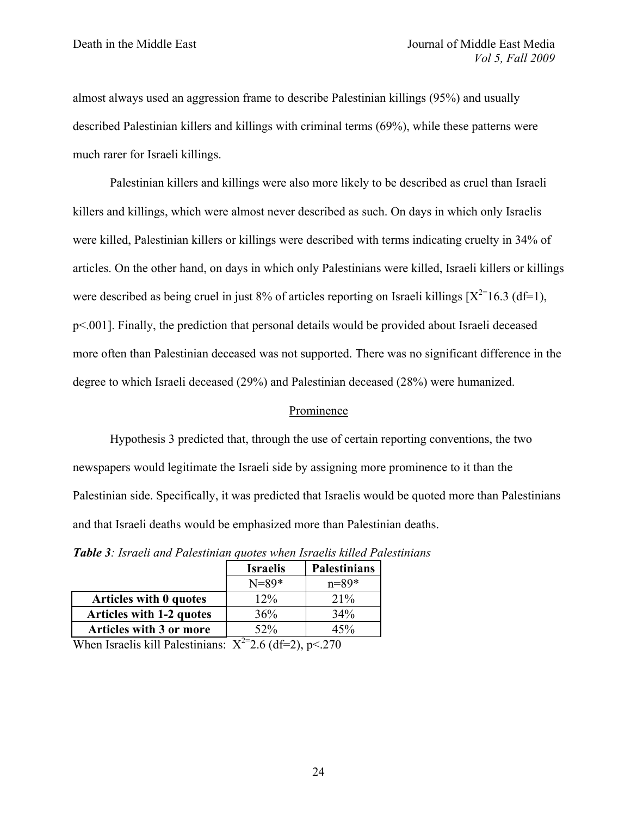almost always used an aggression frame to describe Palestinian killings (95%) and usually described Palestinian killers and killings with criminal terms (69%), while these patterns were much rarer for Israeli killings.

Palestinian killers and killings were also more likely to be described as cruel than Israeli killers and killings, which were almost never described as such. On days in which only Israelis were killed, Palestinian killers or killings were described with terms indicating cruelty in 34% of articles. On the other hand, on days in which only Palestinians were killed, Israeli killers or killings were described as being cruel in just 8% of articles reporting on Israeli killings  $[X^{2=1}6.3 \text{ (df=1)}]$ , p<.001]. Finally, the prediction that personal details would be provided about Israeli deceased more often than Palestinian deceased was not supported. There was no significant difference in the degree to which Israeli deceased (29%) and Palestinian deceased (28%) were humanized.

#### Prominence

Hypothesis 3 predicted that, through the use of certain reporting conventions, the two newspapers would legitimate the Israeli side by assigning more prominence to it than the Palestinian side. Specifically, it was predicted that Israelis would be quoted more than Palestinians and that Israeli deaths would be emphasized more than Palestinian deaths.

|                                 | <b>Israelis</b> | <b>Palestinians</b> |
|---------------------------------|-----------------|---------------------|
|                                 | $N = 89*$       | $n = 89*$           |
| Articles with 0 quotes          | $12\%$          | $21\%$              |
| <b>Articles with 1-2 quotes</b> | 36%             | $34\%$              |
| Articles with 3 or more         | $52\%$          | 45%                 |

*Table 3: Israeli and Palestinian quotes when Israelis killed Palestinians*

When Israelis kill Palestinians:  $X^{2}=2.6$  (df=2), p<.270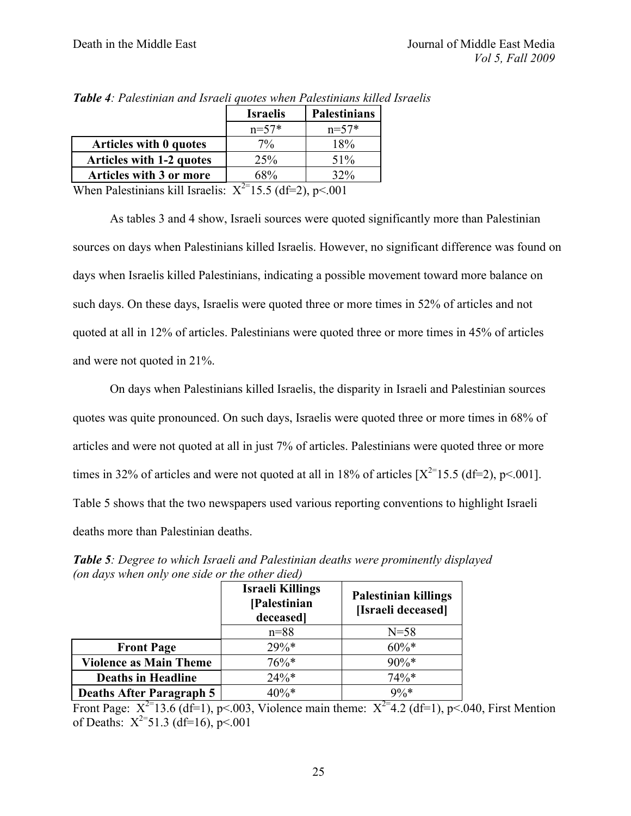|                                                              | <b>Israelis</b> | <b>Palestinians</b> |  |  |
|--------------------------------------------------------------|-----------------|---------------------|--|--|
|                                                              | $n=57*$         | $n=57*$             |  |  |
| <b>Articles with 0 quotes</b>                                | $7\%$           | 18%                 |  |  |
| <b>Articles with 1-2 quotes</b>                              | 25%             | 51%                 |  |  |
| Articles with 3 or more                                      | 68%             | <b>32%</b>          |  |  |
| When Palestinians kill Israelis: $X^{2}$ 15.5 (df=2), p<.001 |                 |                     |  |  |

*Table 4: Palestinian and Israeli quotes when Palestinians killed Israelis*

As tables 3 and 4 show, Israeli sources were quoted significantly more than Palestinian sources on days when Palestinians killed Israelis. However, no significant difference was found on days when Israelis killed Palestinians, indicating a possible movement toward more balance on such days. On these days, Israelis were quoted three or more times in 52% of articles and not quoted at all in 12% of articles. Palestinians were quoted three or more times in 45% of articles and were not quoted in 21%.

On days when Palestinians killed Israelis, the disparity in Israeli and Palestinian sources quotes was quite pronounced. On such days, Israelis were quoted three or more times in 68% of articles and were not quoted at all in just 7% of articles. Palestinians were quoted three or more times in 32% of articles and were not quoted at all in 18% of articles  $[X^{2=15.5}$  (df=2), p<.001]. Table 5 shows that the two newspapers used various reporting conventions to highlight Israeli deaths more than Palestinian deaths.

| $\sim$                          | <b>Israeli Killings</b><br>[Palestinian<br>deceased | <b>Palestinian killings</b><br>[Israeli deceased] |  |
|---------------------------------|-----------------------------------------------------|---------------------------------------------------|--|
|                                 | $n = 88$                                            | $N = 58$                                          |  |
| <b>Front Page</b>               | $29\%*$                                             | $60\%*$                                           |  |
| <b>Violence as Main Theme</b>   | $76\%*$                                             | $90\%*$                                           |  |
| <b>Deaths in Headline</b>       | $24%$ *                                             | $74\%*$                                           |  |
| <b>Deaths After Paragraph 5</b> | $40\%*$                                             | $9\%*$                                            |  |

*Table 5: Degree to which Israeli and Palestinian deaths were prominently displayed (on days when only one side or the other died)*

Front Page:  $X^{2}$ =13.6 (df=1), p<.003, Violence main theme:  $X^{2}$ =4.2 (df=1), p<.040, First Mention of Deaths:  $X^{2}=51.3$  (df=16), p<.001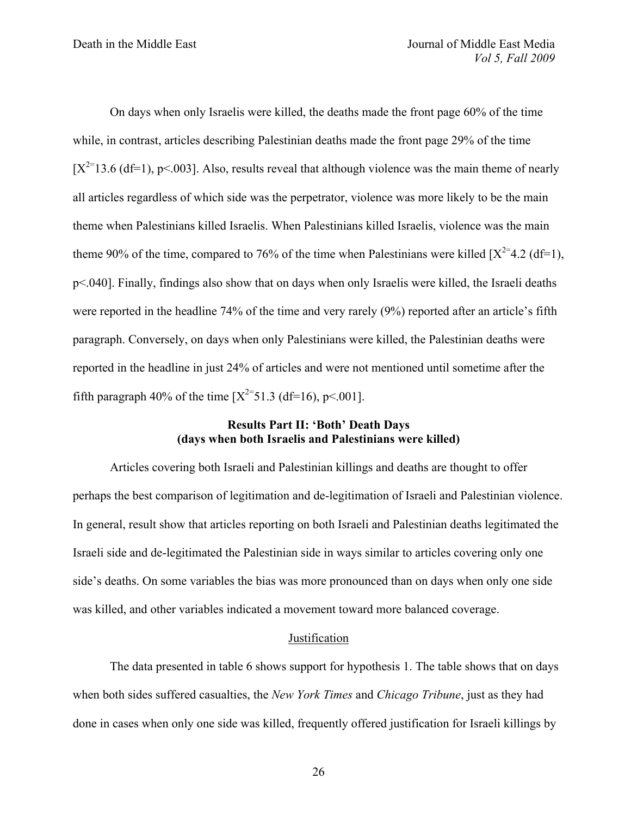On days when only Israelis were killed, the deaths made the front page 60% of the time while, in contrast, articles describing Palestinian deaths made the front page 29% of the time  $[X^{2=13.6}$  (df=1), p<.003]. Also, results reveal that although violence was the main theme of nearly all articles regardless of which side was the perpetrator, violence was more likely to be the main theme when Palestinians killed Israelis. When Palestinians killed Israelis, violence was the main theme 90% of the time, compared to 76% of the time when Palestinians were killed  $[X^{2}=4.2 \text{ (df=1)}]$ , p<.040]. Finally, findings also show that on days when only Israelis were killed, the Israeli deaths were reported in the headline 74% of the time and very rarely (9%) reported after an article's fifth paragraph. Conversely, on days when only Palestinians were killed, the Palestinian deaths were reported in the headline in just 24% of articles and were not mentioned until sometime after the fifth paragraph 40% of the time  $[X^{2=}51.3 \text{ (df=16)}, p<.001]$ .

## **Results Part II: 'Both' Death Days (days when both Israelis and Palestinians were killed)**

Articles covering both Israeli and Palestinian killings and deaths are thought to offer perhaps the best comparison of legitimation and de-legitimation of Israeli and Palestinian violence. In general, result show that articles reporting on both Israeli and Palestinian deaths legitimated the Israeli side and de-legitimated the Palestinian side in ways similar to articles covering only one side's deaths. On some variables the bias was more pronounced than on days when only one side was killed, and other variables indicated a movement toward more balanced coverage.

#### Justification

The data presented in table 6 shows support for hypothesis 1. The table shows that on days when both sides suffered casualties, the *New York Times* and *Chicago Tribune*, just as they had done in cases when only one side was killed, frequently offered justification for Israeli killings by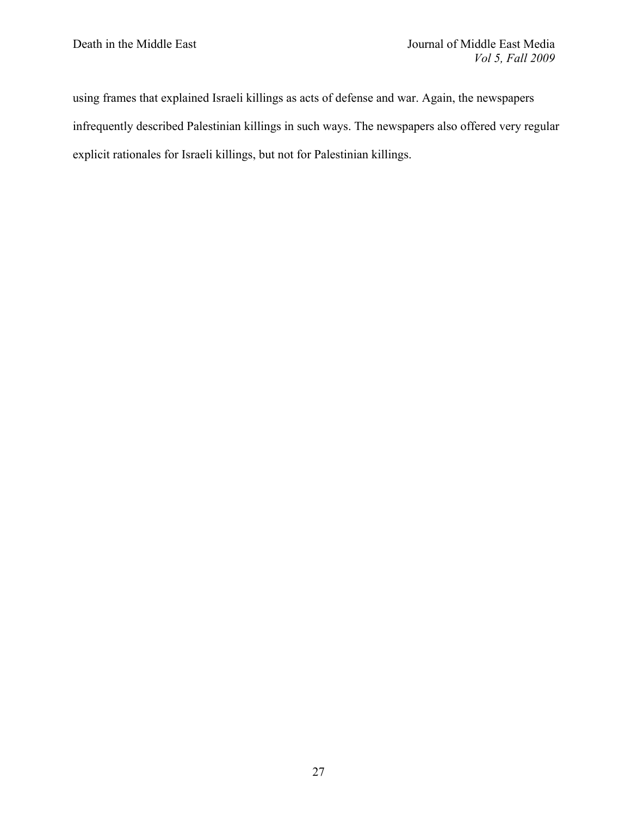using frames that explained Israeli killings as acts of defense and war. Again, the newspapers infrequently described Palestinian killings in such ways. The newspapers also offered very regular explicit rationales for Israeli killings, but not for Palestinian killings.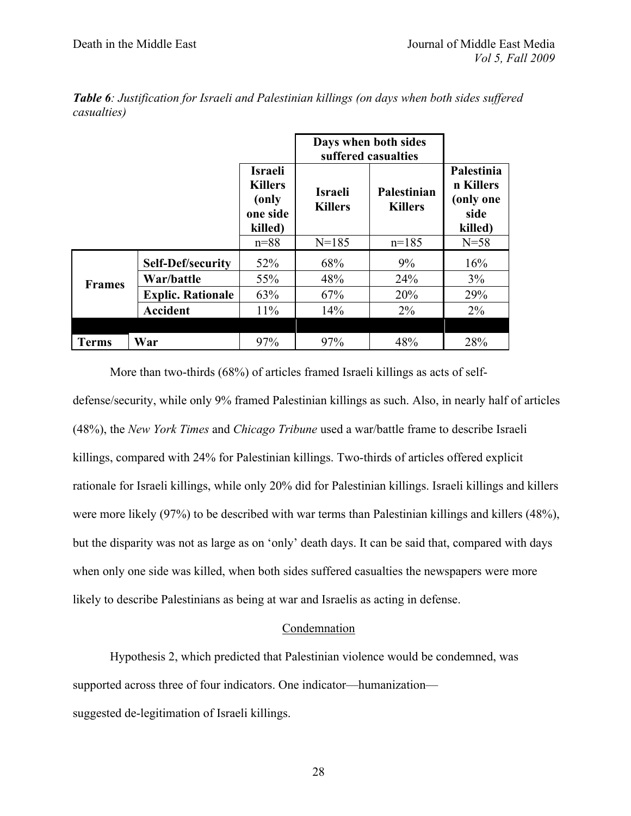|               | Days when both sides<br>suffered casualties |                                                                   |                                  |                               |                                                         |
|---------------|---------------------------------------------|-------------------------------------------------------------------|----------------------------------|-------------------------------|---------------------------------------------------------|
|               |                                             | <b>Israeli</b><br><b>Killers</b><br>(only)<br>one side<br>killed) | <b>Israeli</b><br><b>Killers</b> | Palestinian<br><b>Killers</b> | Palestinia<br>n Killers<br>(only one<br>side<br>killed) |
|               |                                             | $n = 88$                                                          | $N = 185$                        | $n=185$                       | $N=58$                                                  |
|               | <b>Self-Def/security</b>                    | 52%                                                               | 68%                              | 9%                            | 16%                                                     |
| <b>Frames</b> | War/battle                                  | 55%                                                               | 48%                              | 24%                           | 3%                                                      |
|               | <b>Explic. Rationale</b>                    | 63%                                                               | 67%                              | 20%                           | 29%                                                     |
|               | <b>Accident</b>                             | 11%                                                               | 14%                              | $2\%$                         | $2\%$                                                   |
|               |                                             |                                                                   |                                  |                               |                                                         |
| <b>Terms</b>  | War                                         | 97%                                                               | 97%                              | 48%                           | 28%                                                     |

*Table 6: Justification for Israeli and Palestinian killings (on days when both sides suffered casualties)*

More than two-thirds (68%) of articles framed Israeli killings as acts of selfdefense/security, while only 9% framed Palestinian killings as such. Also, in nearly half of articles (48%), the *New York Times* and *Chicago Tribune* used a war/battle frame to describe Israeli killings, compared with 24% for Palestinian killings. Two-thirds of articles offered explicit rationale for Israeli killings, while only 20% did for Palestinian killings. Israeli killings and killers were more likely (97%) to be described with war terms than Palestinian killings and killers (48%), but the disparity was not as large as on 'only' death days. It can be said that, compared with days when only one side was killed, when both sides suffered casualties the newspapers were more likely to describe Palestinians as being at war and Israelis as acting in defense.

#### Condemnation

Hypothesis 2, which predicted that Palestinian violence would be condemned, was supported across three of four indicators. One indicator—humanization suggested de-legitimation of Israeli killings.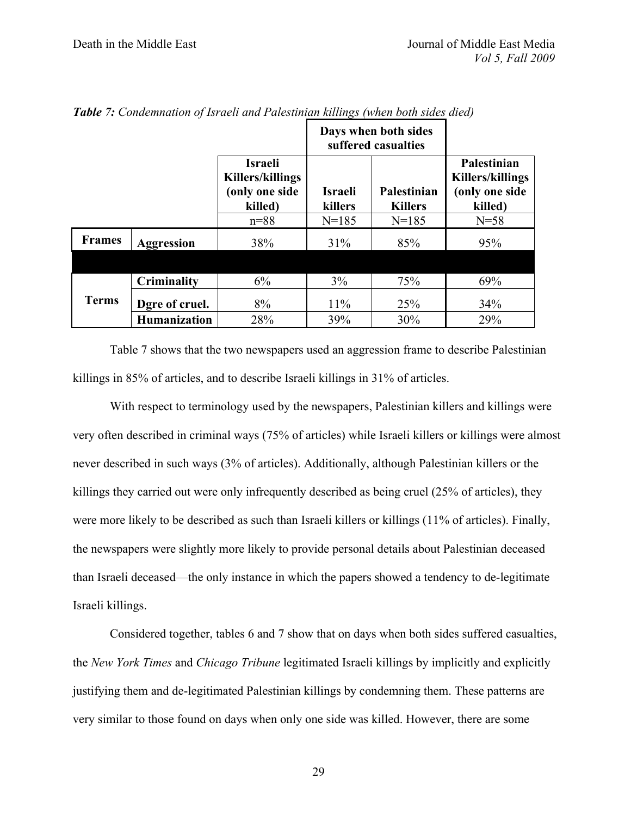|               |                     |                                                                        |                    | Days when both sides<br>suffered casualties |                                                                     |
|---------------|---------------------|------------------------------------------------------------------------|--------------------|---------------------------------------------|---------------------------------------------------------------------|
|               |                     | <b>Israeli</b><br><b>Killers/killings</b><br>(only one side<br>killed) | Israeli<br>killers | Palestinian<br><b>Killers</b>               | Palestinian<br><b>Killers/killings</b><br>(only one side<br>killed) |
|               |                     | $n = 88$                                                               | $N = 185$          | $N = 185$                                   | $N=58$                                                              |
| <b>Frames</b> | <b>Aggression</b>   | 38%                                                                    | 31%                | 85%                                         | 95%                                                                 |
|               |                     |                                                                        |                    |                                             |                                                                     |
|               | Criminality         | 6%                                                                     | 3%                 | 75%                                         | 69%                                                                 |
| <b>Terms</b>  | Dgre of cruel.      | 8%                                                                     | 11%                | 25%                                         | 34%                                                                 |
|               | <b>Humanization</b> | 28%                                                                    | 39%                | 30%                                         | 29%                                                                 |

*Table 7: Condemnation of Israeli and Palestinian killings (when both sides died)*

Table 7 shows that the two newspapers used an aggression frame to describe Palestinian killings in 85% of articles, and to describe Israeli killings in 31% of articles.

With respect to terminology used by the newspapers, Palestinian killers and killings were very often described in criminal ways (75% of articles) while Israeli killers or killings were almost never described in such ways (3% of articles). Additionally, although Palestinian killers or the killings they carried out were only infrequently described as being cruel (25% of articles), they were more likely to be described as such than Israeli killers or killings (11% of articles). Finally, the newspapers were slightly more likely to provide personal details about Palestinian deceased than Israeli deceased—the only instance in which the papers showed a tendency to de-legitimate Israeli killings.

Considered together, tables 6 and 7 show that on days when both sides suffered casualties, the *New York Times* and *Chicago Tribune* legitimated Israeli killings by implicitly and explicitly justifying them and de-legitimated Palestinian killings by condemning them. These patterns are very similar to those found on days when only one side was killed. However, there are some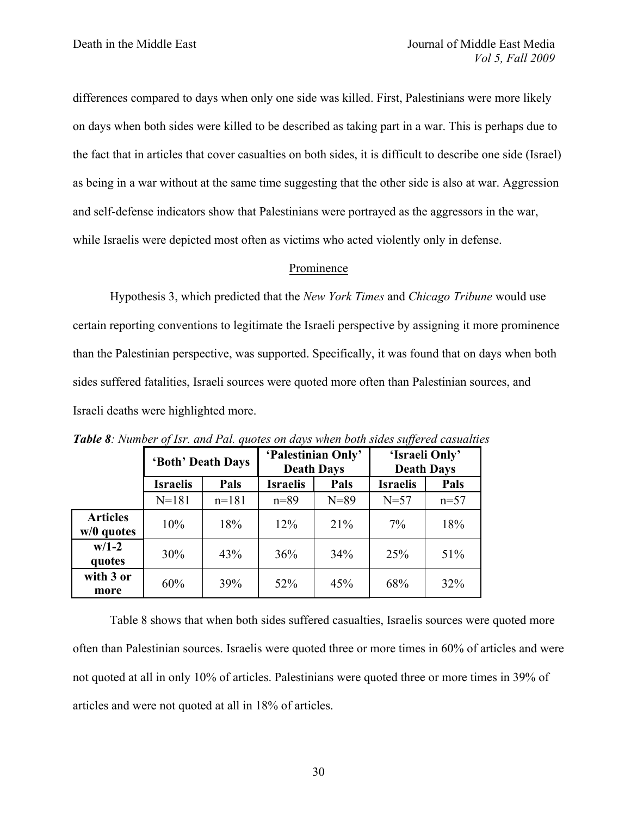differences compared to days when only one side was killed. First, Palestinians were more likely on days when both sides were killed to be described as taking part in a war. This is perhaps due to the fact that in articles that cover casualties on both sides, it is difficult to describe one side (Israel) as being in a war without at the same time suggesting that the other side is also at war. Aggression and self-defense indicators show that Palestinians were portrayed as the aggressors in the war, while Israelis were depicted most often as victims who acted violently only in defense.

#### Prominence

Hypothesis 3, which predicted that the *New York Times* and *Chicago Tribune* would use certain reporting conventions to legitimate the Israeli perspective by assigning it more prominence than the Palestinian perspective, was supported. Specifically, it was found that on days when both sides suffered fatalities, Israeli sources were quoted more often than Palestinian sources, and Israeli deaths were highlighted more.

|                                 | 'Both' Death Days |         | 'Palestinian Only'<br><b>Death Days</b> |          | 'Israeli Only'<br><b>Death Days</b> |        |
|---------------------------------|-------------------|---------|-----------------------------------------|----------|-------------------------------------|--------|
|                                 | <b>Israelis</b>   | Pals    | <b>Israelis</b>                         | Pals     | <b>Israelis</b>                     | Pals   |
|                                 | $N = 181$         | $n=181$ | $n = 89$                                | $N = 89$ | $N=57$                              | $n=57$ |
| <b>Articles</b><br>$w/0$ quotes | 10%               | 18%     | 12%                                     | 21%      | $7\%$                               | 18%    |
| $w/1-2$<br>quotes               | 30%               | 43%     | 36%                                     | 34%      | 25%                                 | 51%    |
| with 3 or<br>more               | 60%               | 39%     | 52%                                     | 45%      | 68%                                 | 32%    |

*Table 8: Number of Isr. and Pal. quotes on days when both sides suffered casualties*

Table 8 shows that when both sides suffered casualties, Israelis sources were quoted more often than Palestinian sources. Israelis were quoted three or more times in 60% of articles and were not quoted at all in only 10% of articles. Palestinians were quoted three or more times in 39% of articles and were not quoted at all in 18% of articles.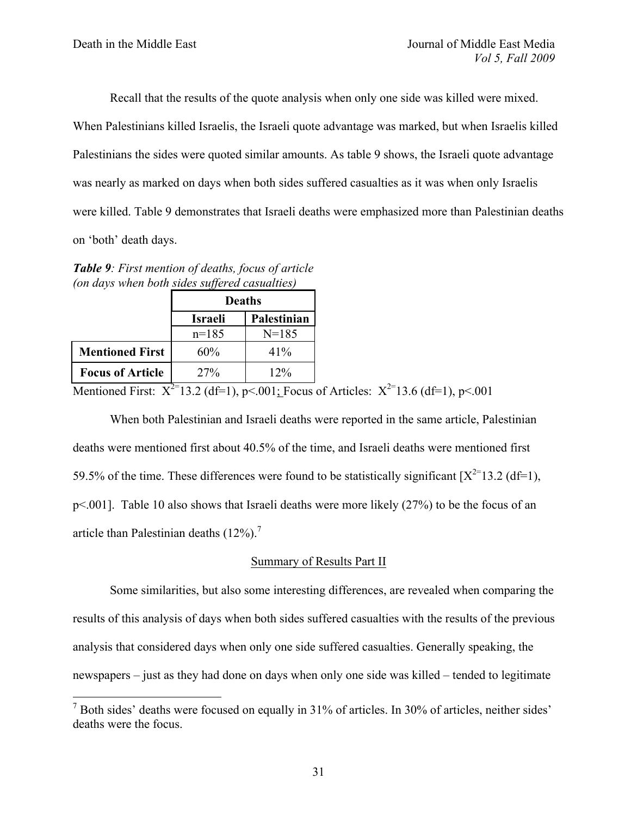Recall that the results of the quote analysis when only one side was killed were mixed.

When Palestinians killed Israelis, the Israeli quote advantage was marked, but when Israelis killed Palestinians the sides were quoted similar amounts. As table 9 shows, the Israeli quote advantage was nearly as marked on days when both sides suffered casualties as it was when only Israelis were killed. Table 9 demonstrates that Israeli deaths were emphasized more than Palestinian deaths on 'both' death days.

*Table 9: First mention of deaths, focus of article (on days when both sides suffered casualties)*

|                         | <b>Deaths</b>  |             |  |
|-------------------------|----------------|-------------|--|
|                         | <b>Israeli</b> | Palestinian |  |
|                         | $n=185$        | $N = 185$   |  |
| <b>Mentioned First</b>  | 60%            | 41%         |  |
| <b>Focus of Article</b> | 27%            | 12%         |  |

Mentioned First:  $X^{2}$ =13.2 (df=1), p<.001; Focus of Articles:  $X^{2}$ =13.6 (df=1), p<.001

When both Palestinian and Israeli deaths were reported in the same article, Palestinian deaths were mentioned first about 40.5% of the time, and Israeli deaths were mentioned first 59.5% of the time. These differences were found to be statistically significant  $[X^{2=1}3.2 \text{ (df=1)}]$ . p<.001]. Table 10 also shows that Israeli deaths were more likely (27%) to be the focus of an article than Palestinian deaths  $(12\%)$ .<sup>7</sup>

## Summary of Results Part II

Some similarities, but also some interesting differences, are revealed when comparing the results of this analysis of days when both sides suffered casualties with the results of the previous analysis that considered days when only one side suffered casualties. Generally speaking, the newspapers – just as they had done on days when only one side was killed – tended to legitimate

 $<sup>7</sup>$  Both sides' deaths were focused on equally in 31% of articles. In 30% of articles, neither sides'</sup> deaths were the focus.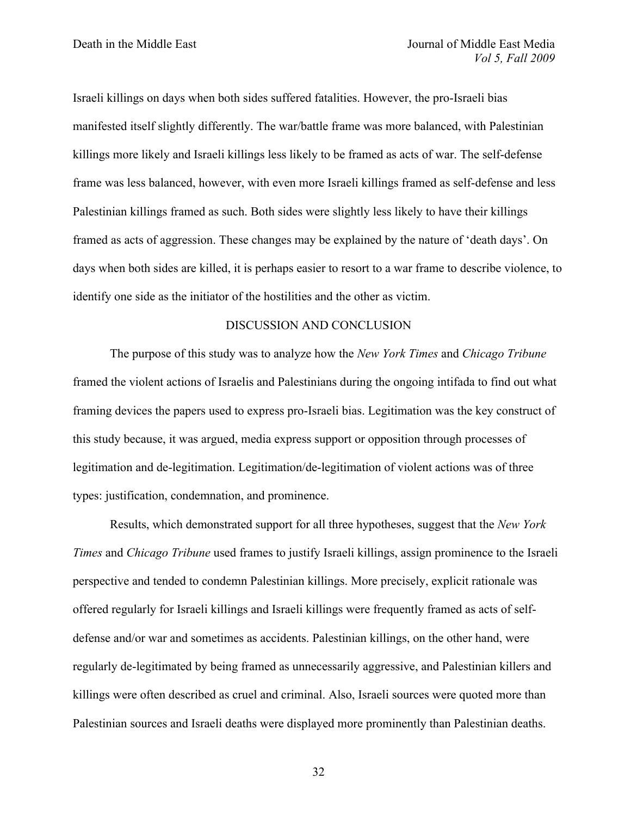Israeli killings on days when both sides suffered fatalities. However, the pro-Israeli bias manifested itself slightly differently. The war/battle frame was more balanced, with Palestinian killings more likely and Israeli killings less likely to be framed as acts of war. The self-defense frame was less balanced, however, with even more Israeli killings framed as self-defense and less Palestinian killings framed as such. Both sides were slightly less likely to have their killings framed as acts of aggression. These changes may be explained by the nature of 'death days'. On days when both sides are killed, it is perhaps easier to resort to a war frame to describe violence, to identify one side as the initiator of the hostilities and the other as victim.

## DISCUSSION AND CONCLUSION

The purpose of this study was to analyze how the *New York Times* and *Chicago Tribune* framed the violent actions of Israelis and Palestinians during the ongoing intifada to find out what framing devices the papers used to express pro-Israeli bias. Legitimation was the key construct of this study because, it was argued, media express support or opposition through processes of legitimation and de-legitimation. Legitimation/de-legitimation of violent actions was of three types: justification, condemnation, and prominence.

Results, which demonstrated support for all three hypotheses, suggest that the *New York Times* and *Chicago Tribune* used frames to justify Israeli killings, assign prominence to the Israeli perspective and tended to condemn Palestinian killings. More precisely, explicit rationale was offered regularly for Israeli killings and Israeli killings were frequently framed as acts of selfdefense and/or war and sometimes as accidents. Palestinian killings, on the other hand, were regularly de-legitimated by being framed as unnecessarily aggressive, and Palestinian killers and killings were often described as cruel and criminal. Also, Israeli sources were quoted more than Palestinian sources and Israeli deaths were displayed more prominently than Palestinian deaths.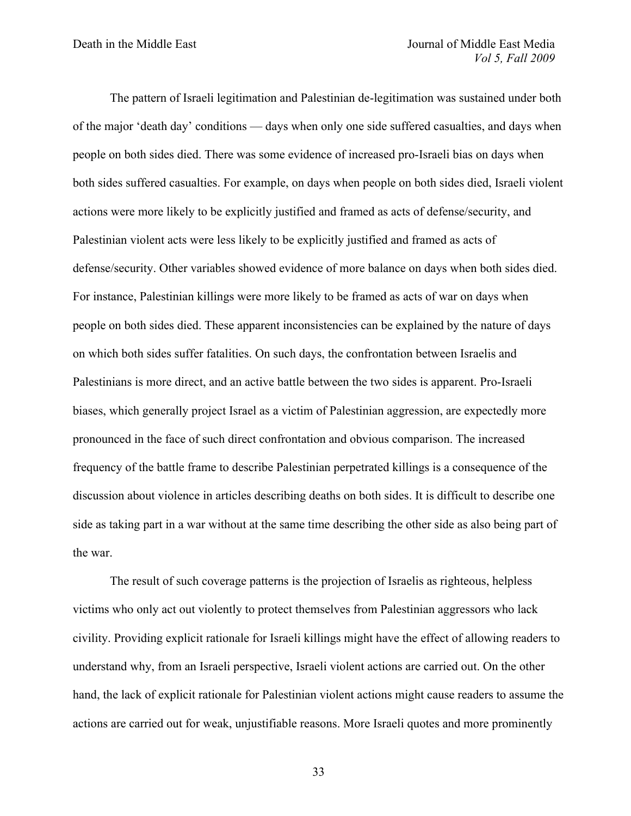The pattern of Israeli legitimation and Palestinian de-legitimation was sustained under both of the major 'death day' conditions — days when only one side suffered casualties, and days when people on both sides died. There was some evidence of increased pro-Israeli bias on days when both sides suffered casualties. For example, on days when people on both sides died, Israeli violent actions were more likely to be explicitly justified and framed as acts of defense/security, and Palestinian violent acts were less likely to be explicitly justified and framed as acts of defense/security. Other variables showed evidence of more balance on days when both sides died. For instance, Palestinian killings were more likely to be framed as acts of war on days when people on both sides died. These apparent inconsistencies can be explained by the nature of days on which both sides suffer fatalities. On such days, the confrontation between Israelis and Palestinians is more direct, and an active battle between the two sides is apparent. Pro-Israeli biases, which generally project Israel as a victim of Palestinian aggression, are expectedly more pronounced in the face of such direct confrontation and obvious comparison. The increased frequency of the battle frame to describe Palestinian perpetrated killings is a consequence of the discussion about violence in articles describing deaths on both sides. It is difficult to describe one side as taking part in a war without at the same time describing the other side as also being part of the war.

The result of such coverage patterns is the projection of Israelis as righteous, helpless victims who only act out violently to protect themselves from Palestinian aggressors who lack civility. Providing explicit rationale for Israeli killings might have the effect of allowing readers to understand why, from an Israeli perspective, Israeli violent actions are carried out. On the other hand, the lack of explicit rationale for Palestinian violent actions might cause readers to assume the actions are carried out for weak, unjustifiable reasons. More Israeli quotes and more prominently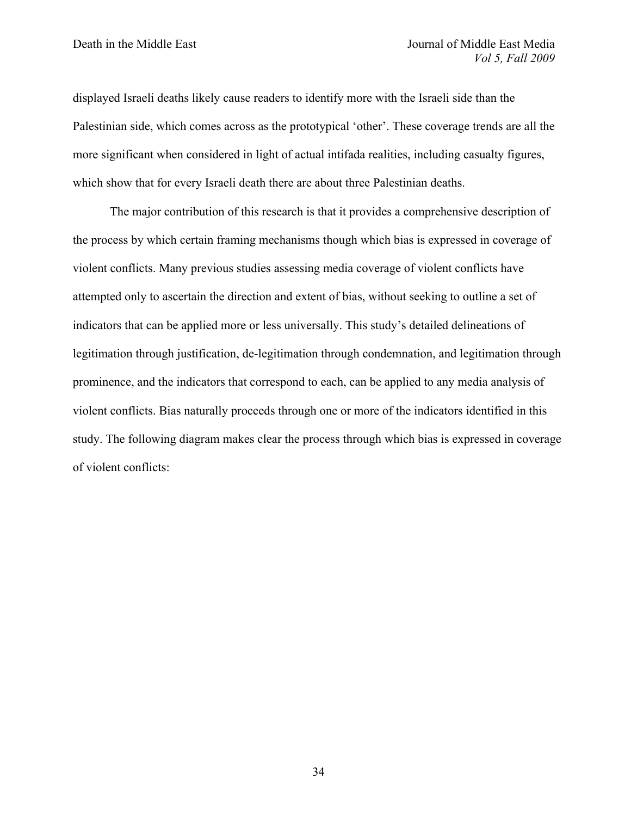displayed Israeli deaths likely cause readers to identify more with the Israeli side than the Palestinian side, which comes across as the prototypical 'other'. These coverage trends are all the more significant when considered in light of actual intifada realities, including casualty figures, which show that for every Israeli death there are about three Palestinian deaths.

The major contribution of this research is that it provides a comprehensive description of the process by which certain framing mechanisms though which bias is expressed in coverage of violent conflicts. Many previous studies assessing media coverage of violent conflicts have attempted only to ascertain the direction and extent of bias, without seeking to outline a set of indicators that can be applied more or less universally. This study's detailed delineations of legitimation through justification, de-legitimation through condemnation, and legitimation through prominence, and the indicators that correspond to each, can be applied to any media analysis of violent conflicts. Bias naturally proceeds through one or more of the indicators identified in this study. The following diagram makes clear the process through which bias is expressed in coverage of violent conflicts: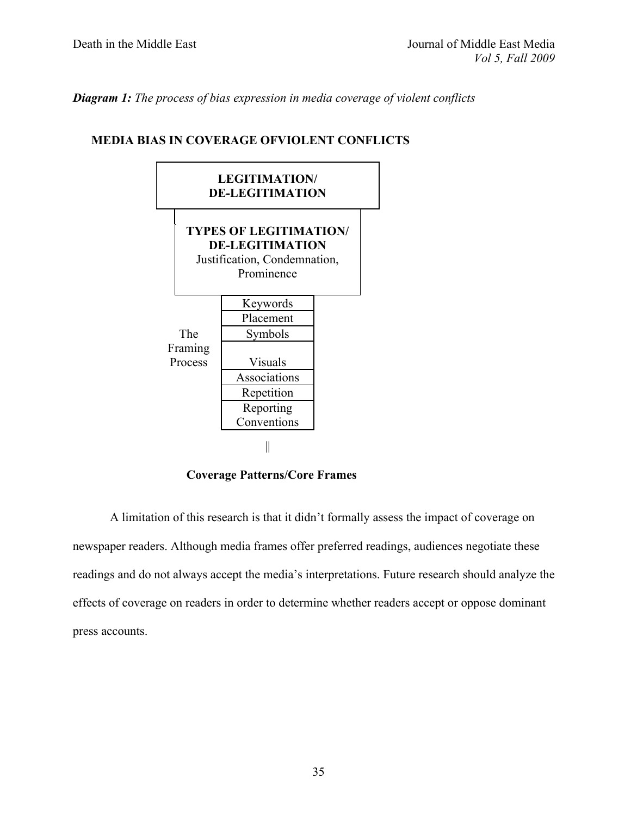*Diagram 1: The process of bias expression in media coverage of violent conflicts*

# **MEDIA BIAS IN COVERAGE OFVIOLENT CONFLICTS**



 **Coverage Patterns/Core Frames** 

A limitation of this research is that it didn't formally assess the impact of coverage on newspaper readers. Although media frames offer preferred readings, audiences negotiate these readings and do not always accept the media's interpretations. Future research should analyze the effects of coverage on readers in order to determine whether readers accept or oppose dominant press accounts.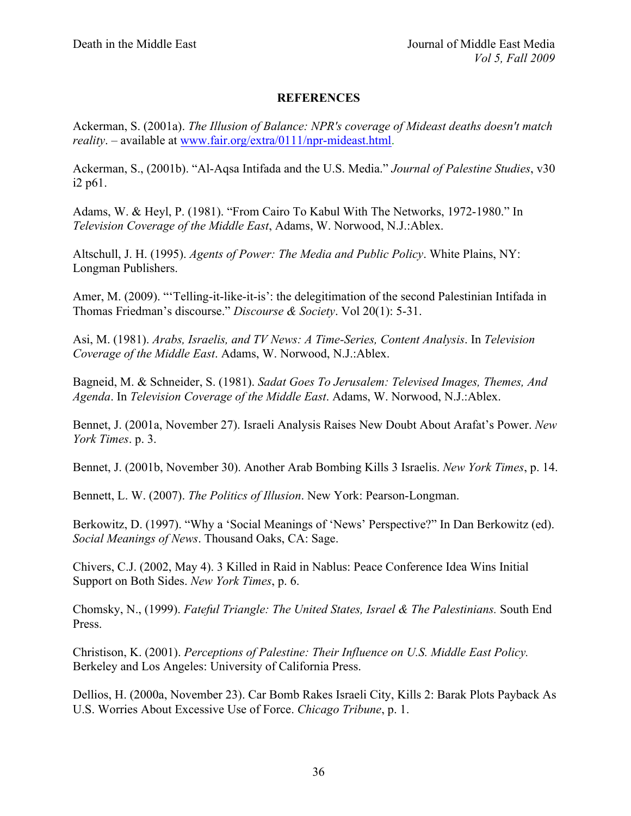## **REFERENCES**

Ackerman, S. (2001a). *The Illusion of Balance: NPR's coverage of Mideast deaths doesn't match reality*. – available at www.fair.org/extra/0111/npr-mideast.html.

Ackerman, S., (2001b). "Al-Aqsa Intifada and the U.S. Media." *Journal of Palestine Studies*, v30 i2 p61.

Adams, W. & Heyl, P. (1981). "From Cairo To Kabul With The Networks, 1972-1980." In *Television Coverage of the Middle East*, Adams, W. Norwood, N.J.:Ablex.

Altschull, J. H. (1995). *Agents of Power: The Media and Public Policy*. White Plains, NY: Longman Publishers.

Amer, M. (2009). "'Telling-it-like-it-is': the delegitimation of the second Palestinian Intifada in Thomas Friedman's discourse." *Discourse & Society*. Vol 20(1): 5-31.

Asi, M. (1981). *Arabs, Israelis, and TV News: A Time-Series, Content Analysis*. In *Television Coverage of the Middle East*. Adams, W. Norwood, N.J.:Ablex.

Bagneid, M. & Schneider, S. (1981). *Sadat Goes To Jerusalem: Televised Images, Themes, And Agenda*. In *Television Coverage of the Middle East*. Adams, W. Norwood, N.J.:Ablex.

Bennet, J. (2001a, November 27). Israeli Analysis Raises New Doubt About Arafat's Power. *New York Times*. p. 3.

Bennet, J. (2001b, November 30). Another Arab Bombing Kills 3 Israelis. *New York Times*, p. 14.

Bennett, L. W. (2007). *The Politics of Illusion*. New York: Pearson-Longman.

Berkowitz, D. (1997). "Why a 'Social Meanings of 'News' Perspective?" In Dan Berkowitz (ed). *Social Meanings of News*. Thousand Oaks, CA: Sage.

Chivers, C.J. (2002, May 4). 3 Killed in Raid in Nablus: Peace Conference Idea Wins Initial Support on Both Sides. *New York Times*, p. 6.

Chomsky, N., (1999). *Fateful Triangle: The United States, Israel & The Palestinians.* South End Press.

Christison, K. (2001). *Perceptions of Palestine: Their Influence on U.S. Middle East Policy.*  Berkeley and Los Angeles: University of California Press.

Dellios, H. (2000a, November 23). Car Bomb Rakes Israeli City, Kills 2: Barak Plots Payback As U.S. Worries About Excessive Use of Force. *Chicago Tribune*, p. 1.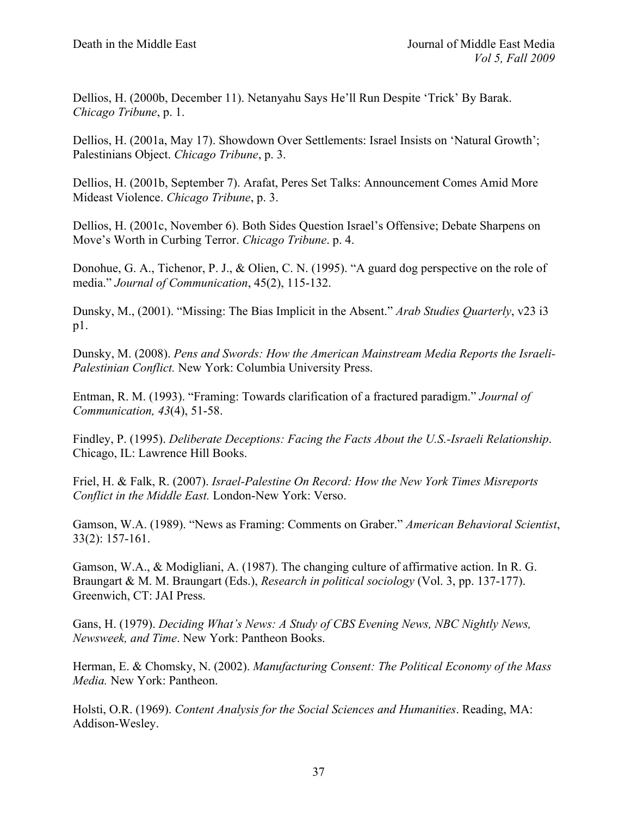Dellios, H. (2000b, December 11). Netanyahu Says He'll Run Despite 'Trick' By Barak. *Chicago Tribune*, p. 1.

Dellios, H. (2001a, May 17). Showdown Over Settlements: Israel Insists on 'Natural Growth'; Palestinians Object. *Chicago Tribune*, p. 3.

Dellios, H. (2001b, September 7). Arafat, Peres Set Talks: Announcement Comes Amid More Mideast Violence. *Chicago Tribune*, p. 3.

Dellios, H. (2001c, November 6). Both Sides Question Israel's Offensive; Debate Sharpens on Move's Worth in Curbing Terror. *Chicago Tribune*. p. 4.

Donohue, G. A., Tichenor, P. J., & Olien, C. N. (1995). "A guard dog perspective on the role of media." *Journal of Communication*, 45(2), 115-132.

Dunsky, M., (2001). "Missing: The Bias Implicit in the Absent." *Arab Studies Quarterly*, v23 i3 p1.

Dunsky, M. (2008). *Pens and Swords: How the American Mainstream Media Reports the Israeli-Palestinian Conflict.* New York: Columbia University Press.

Entman, R. M. (1993). "Framing: Towards clarification of a fractured paradigm." *Journal of Communication, 43*(4), 51-58.

Findley, P. (1995). *Deliberate Deceptions: Facing the Facts About the U.S.-Israeli Relationship*. Chicago, IL: Lawrence Hill Books.

Friel, H. & Falk, R. (2007). *Israel-Palestine On Record: How the New York Times Misreports Conflict in the Middle East.* London-New York: Verso.

Gamson, W.A. (1989). "News as Framing: Comments on Graber." *American Behavioral Scientist*, 33(2): 157-161.

Gamson, W.A., & Modigliani, A. (1987). The changing culture of affirmative action. In R. G. Braungart & M. M. Braungart (Eds.), *Research in political sociology* (Vol. 3, pp. 137-177). Greenwich, CT: JAI Press.

Gans, H. (1979). *Deciding What's News: A Study of CBS Evening News, NBC Nightly News, Newsweek, and Time*. New York: Pantheon Books.

Herman, E. & Chomsky, N. (2002). *Manufacturing Consent: The Political Economy of the Mass Media.* New York: Pantheon.

Holsti, O.R. (1969). *Content Analysis for the Social Sciences and Humanities*. Reading, MA: Addison-Wesley.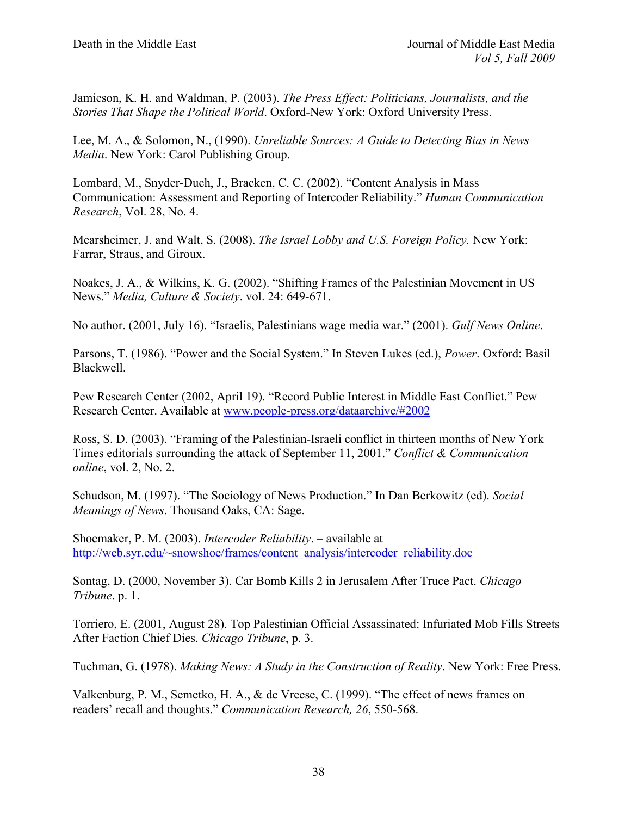Jamieson, K. H. and Waldman, P. (2003). *The Press Effect: Politicians, Journalists, and the Stories That Shape the Political World*. Oxford-New York: Oxford University Press.

Lee, M. A., & Solomon, N., (1990). *Unreliable Sources: A Guide to Detecting Bias in News Media*. New York: Carol Publishing Group.

Lombard, M., Snyder-Duch, J., Bracken, C. C. (2002). "Content Analysis in Mass Communication: Assessment and Reporting of Intercoder Reliability." *Human Communication Research*, Vol. 28, No. 4.

Mearsheimer, J. and Walt, S. (2008). *The Israel Lobby and U.S. Foreign Policy.* New York: Farrar, Straus, and Giroux.

Noakes, J. A., & Wilkins, K. G. (2002). "Shifting Frames of the Palestinian Movement in US News." *Media, Culture & Society*. vol. 24: 649-671.

No author. (2001, July 16). "Israelis, Palestinians wage media war." (2001). *Gulf News Online*.

Parsons, T. (1986). "Power and the Social System." In Steven Lukes (ed.), *Power*. Oxford: Basil Blackwell.

Pew Research Center (2002, April 19). "Record Public Interest in Middle East Conflict." Pew Research Center. Available at www.people-press.org/dataarchive/#2002

Ross, S. D. (2003). "Framing of the Palestinian-Israeli conflict in thirteen months of New York Times editorials surrounding the attack of September 11, 2001." *Conflict & Communication online*, vol. 2, No. 2.

Schudson, M. (1997). "The Sociology of News Production." In Dan Berkowitz (ed). *Social Meanings of News*. Thousand Oaks, CA: Sage.

Shoemaker, P. M. (2003). *Intercoder Reliability*. – available at http://web.syr.edu/~snowshoe/frames/content\_analysis/intercoder\_reliability.doc

Sontag, D. (2000, November 3). Car Bomb Kills 2 in Jerusalem After Truce Pact. *Chicago Tribune*. p. 1.

Torriero, E. (2001, August 28). Top Palestinian Official Assassinated: Infuriated Mob Fills Streets After Faction Chief Dies. *Chicago Tribune*, p. 3.

Tuchman, G. (1978). *Making News: A Study in the Construction of Reality*. New York: Free Press.

Valkenburg, P. M., Semetko, H. A., & de Vreese, C. (1999). "The effect of news frames on readers' recall and thoughts." *Communication Research, 26*, 550-568.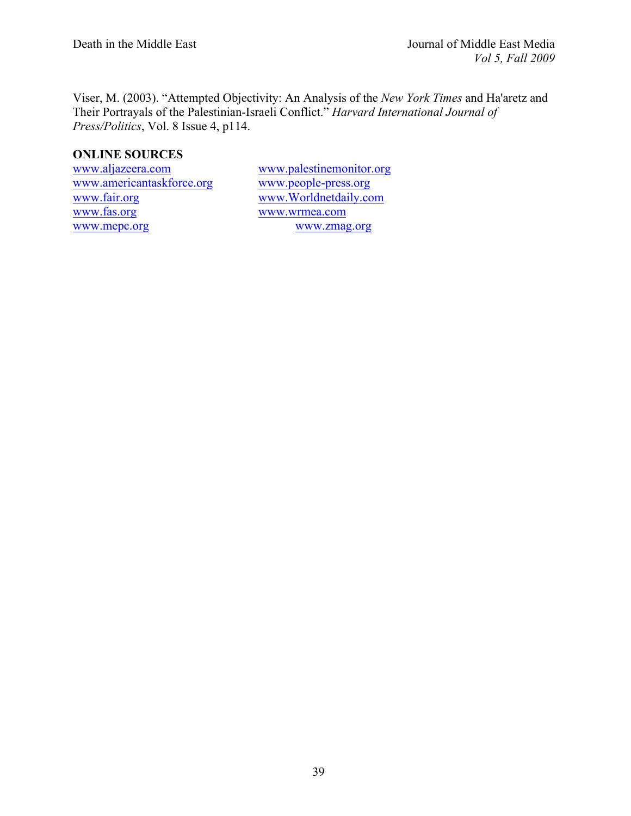Viser, M. (2003). "Attempted Objectivity: An Analysis of the *New York Times* and Ha'aretz and Their Portrayals of the Palestinian-Israeli Conflict." *Harvard International Journal of Press/Politics*, Vol. 8 Issue 4, p114.

# **ONLINE SOURCES**

www.americantaskforce.org www.people-press.org www.fair.org www.Worldnetdaily.com www.mepc.org

www.aljazeera.com www.palestinemonitor.org www.wrmea.com<br>www.zmag.org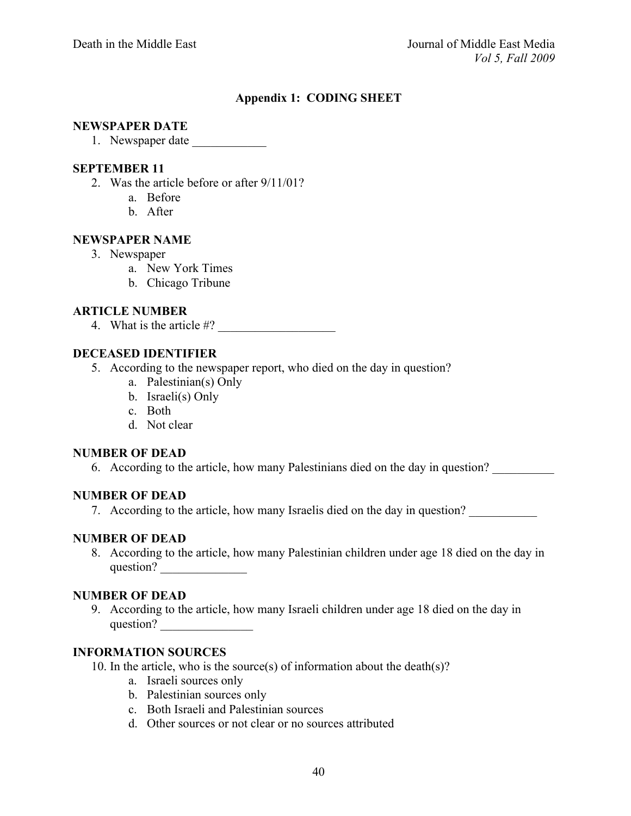# **Appendix 1: CODING SHEET**

#### **NEWSPAPER DATE**

1. Newspaper date \_\_\_\_\_\_\_\_\_\_\_\_

#### **SEPTEMBER 11**

- 2. Was the article before or after 9/11/01?
	- a. Before
	- b. After

#### **NEWSPAPER NAME**

- 3. Newspaper
	- a. New York Times
	- b. Chicago Tribune

#### **ARTICLE NUMBER**

4. What is the article  $\#?$ 

# **DECEASED IDENTIFIER**

- 5. According to the newspaper report, who died on the day in question?
	- a. Palestinian(s) Only
	- b. Israeli(s) Only
	- c. Both
	- d. Not clear

#### **NUMBER OF DEAD**

6. According to the article, how many Palestinians died on the day in question?

#### **NUMBER OF DEAD**

7. According to the article, how many Israelis died on the day in question?

## **NUMBER OF DEAD**

8. According to the article, how many Palestinian children under age 18 died on the day in question? \_\_\_\_\_\_\_\_\_\_\_\_\_\_

#### **NUMBER OF DEAD**

9. According to the article, how many Israeli children under age 18 died on the day in question? \_\_\_\_\_\_\_\_\_\_\_\_\_\_\_

## **INFORMATION SOURCES**

- 10. In the article, who is the source(s) of information about the death(s)?
	- a. Israeli sources only
	- b. Palestinian sources only
	- c. Both Israeli and Palestinian sources
	- d. Other sources or not clear or no sources attributed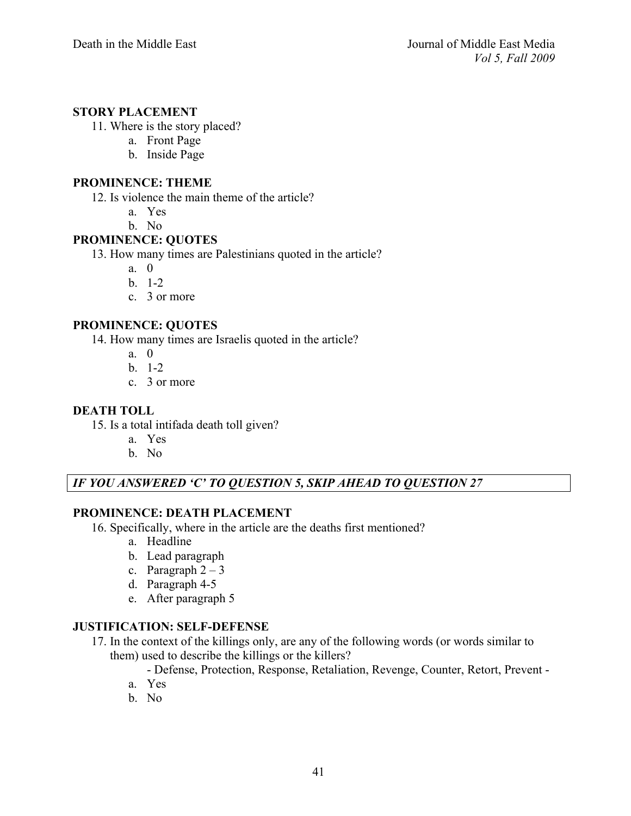#### **STORY PLACEMENT**

- 11. Where is the story placed?
	- a. Front Page
	- b. Inside Page

#### **PROMINENCE: THEME**

12. Is violence the main theme of the article?

- a. Yes
- b. No

## **PROMINENCE: QUOTES**

13. How many times are Palestinians quoted in the article?

- a. 0
- b. 1-2
- c. 3 or more

#### **PROMINENCE: QUOTES**

14. How many times are Israelis quoted in the article?

- a. 0
- $h = 1-2$
- c. 3 or more

#### **DEATH TOLL**

- 15. Is a total intifada death toll given?
	- a. Yes
	- b. No

# *IF YOU ANSWERED 'C' TO QUESTION 5, SKIP AHEAD TO QUESTION 27*

## **PROMINENCE: DEATH PLACEMENT**

- 16. Specifically, where in the article are the deaths first mentioned?
	- a. Headline
	- b. Lead paragraph
	- c. Paragraph  $2 3$
	- d. Paragraph 4-5
	- e. After paragraph 5

## **JUSTIFICATION: SELF-DEFENSE**

17. In the context of the killings only, are any of the following words (or words similar to them) used to describe the killings or the killers?

- Defense, Protection, Response, Retaliation, Revenge, Counter, Retort, Prevent -

- a. Yes
- b. No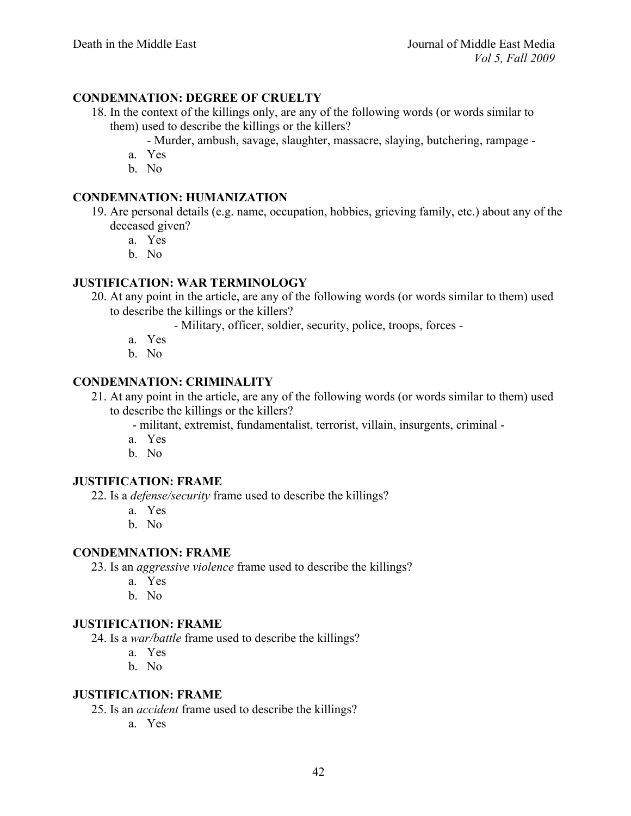# **CONDEMNATION: DEGREE OF CRUELTY**

- 18. In the context of the killings only, are any of the following words (or words similar to them) used to describe the killings or the killers?
	- Murder, ambush, savage, slaughter, massacre, slaying, butchering, rampage -
	- a. Yes
	- b. No

## **CONDEMNATION: HUMANIZATION**

- 19. Are personal details (e.g. name, occupation, hobbies, grieving family, etc.) about any of the deceased given?
	- a. Yes
	- b. No

## **JUSTIFICATION: WAR TERMINOLOGY**

20. At any point in the article, are any of the following words (or words similar to them) used to describe the killings or the killers?

- Military, officer, soldier, security, police, troops, forces -

- a. Yes
- b. No

## **CONDEMNATION: CRIMINALITY**

- 21. At any point in the article, are any of the following words (or words similar to them) used to describe the killings or the killers?
	- militant, extremist, fundamentalist, terrorist, villain, insurgents, criminal -
	- a. Yes
	- b. No

#### **JUSTIFICATION: FRAME**

22. Is a *defense/security* frame used to describe the killings?

- a. Yes
- b. No

#### **CONDEMNATION: FRAME**

- 23. Is an *aggressive violence* frame used to describe the killings?
	- a. Yes
	- b. No

#### **JUSTIFICATION: FRAME**

24. Is a *war/battle* frame used to describe the killings?

- a. Yes
- b. No

#### **JUSTIFICATION: FRAME**

25. Is an *accident* frame used to describe the killings?

a. Yes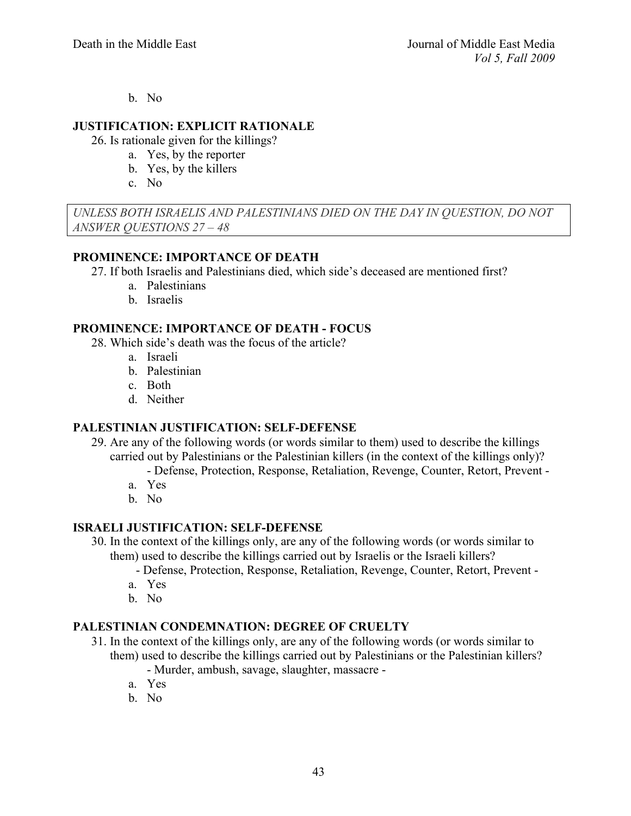b. No

## **JUSTIFICATION: EXPLICIT RATIONALE**

26. Is rationale given for the killings?

- a. Yes, by the reporter
- b. Yes, by the killers
- c. No

*UNLESS BOTH ISRAELIS AND PALESTINIANS DIED ON THE DAY IN QUESTION, DO NOT ANSWER QUESTIONS 27 – 48*

# **PROMINENCE: IMPORTANCE OF DEATH**

27. If both Israelis and Palestinians died, which side's deceased are mentioned first?

- a. Palestinians
- b. Israelis

## **PROMINENCE: IMPORTANCE OF DEATH - FOCUS**

28. Which side's death was the focus of the article?

- a. Israeli
- b. Palestinian
- c. Both
- d. Neither

# **PALESTINIAN JUSTIFICATION: SELF-DEFENSE**

- 29. Are any of the following words (or words similar to them) used to describe the killings carried out by Palestinians or the Palestinian killers (in the context of the killings only)?
	- Defense, Protection, Response, Retaliation, Revenge, Counter, Retort, Prevent -
	- a. Yes
	- b. No

# **ISRAELI JUSTIFICATION: SELF-DEFENSE**

- 30. In the context of the killings only, are any of the following words (or words similar to them) used to describe the killings carried out by Israelis or the Israeli killers?
	- Defense, Protection, Response, Retaliation, Revenge, Counter, Retort, Prevent -
	- a. Yes
	- b. No

# **PALESTINIAN CONDEMNATION: DEGREE OF CRUELTY**

- 31. In the context of the killings only, are any of the following words (or words similar to them) used to describe the killings carried out by Palestinians or the Palestinian killers?
	- Murder, ambush, savage, slaughter, massacre -
	- a. Yes
	- b. No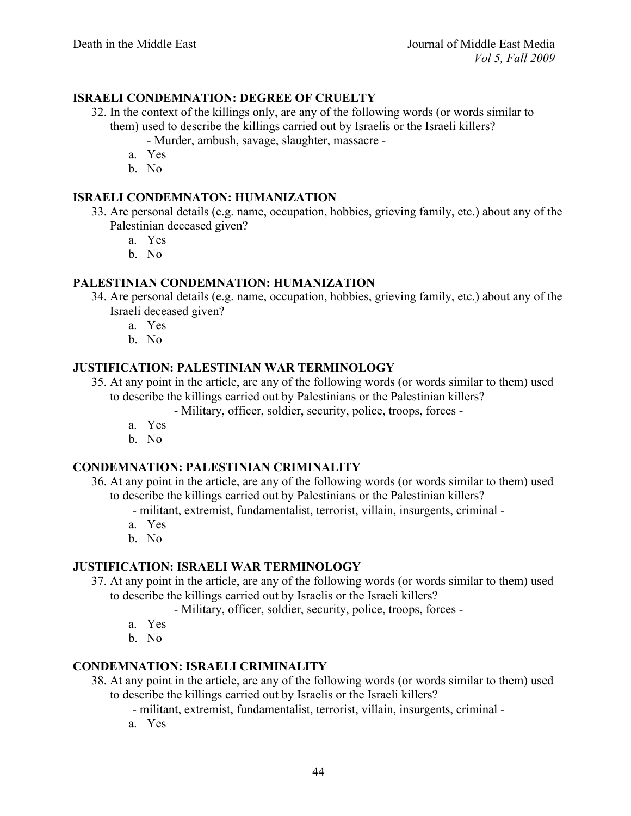# **ISRAELI CONDEMNATION: DEGREE OF CRUELTY**

- 32. In the context of the killings only, are any of the following words (or words similar to them) used to describe the killings carried out by Israelis or the Israeli killers?
	- Murder, ambush, savage, slaughter, massacre -
	- a. Yes
	- b. No

# **ISRAELI CONDEMNATON: HUMANIZATION**

- 33. Are personal details (e.g. name, occupation, hobbies, grieving family, etc.) about any of the Palestinian deceased given?
	- a. Yes
	- b. No

## **PALESTINIAN CONDEMNATION: HUMANIZATION**

- 34. Are personal details (e.g. name, occupation, hobbies, grieving family, etc.) about any of the Israeli deceased given?
	- a. Yes
	- b. No

## **JUSTIFICATION: PALESTINIAN WAR TERMINOLOGY**

35. At any point in the article, are any of the following words (or words similar to them) used to describe the killings carried out by Palestinians or the Palestinian killers?

- Military, officer, soldier, security, police, troops, forces -

- a. Yes
- b. No

# **CONDEMNATION: PALESTINIAN CRIMINALITY**

36. At any point in the article, are any of the following words (or words similar to them) used to describe the killings carried out by Palestinians or the Palestinian killers?

- militant, extremist, fundamentalist, terrorist, villain, insurgents, criminal -

- a. Yes
- b. No

#### **JUSTIFICATION: ISRAELI WAR TERMINOLOGY**

37. At any point in the article, are any of the following words (or words similar to them) used to describe the killings carried out by Israelis or the Israeli killers?

- Military, officer, soldier, security, police, troops, forces -

- a. Yes
- b. No

## **CONDEMNATION: ISRAELI CRIMINALITY**

- 38. At any point in the article, are any of the following words (or words similar to them) used to describe the killings carried out by Israelis or the Israeli killers?
	- militant, extremist, fundamentalist, terrorist, villain, insurgents, criminal -
	- a. Yes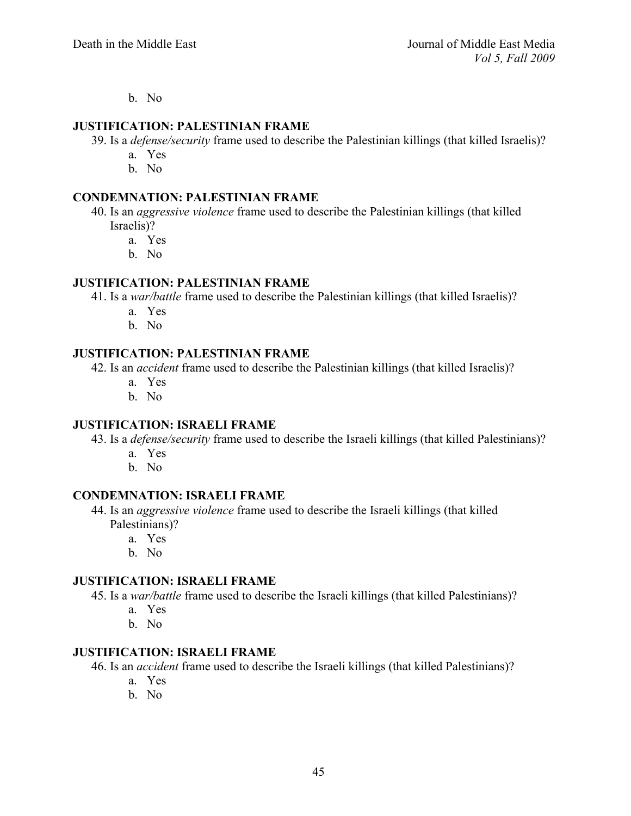b. No

#### **JUSTIFICATION: PALESTINIAN FRAME**

- 39. Is a *defense/security* frame used to describe the Palestinian killings (that killed Israelis)?
	- a. Yes
	- b. No

#### **CONDEMNATION: PALESTINIAN FRAME**

- 40. Is an *aggressive violence* frame used to describe the Palestinian killings (that killed Israelis)?
	- a. Yes
	- b. No

### **JUSTIFICATION: PALESTINIAN FRAME**

41. Is a *war/battle* frame used to describe the Palestinian killings (that killed Israelis)?

- a. Yes
- b. No

# **JUSTIFICATION: PALESTINIAN FRAME**

42. Is an *accident* frame used to describe the Palestinian killings (that killed Israelis)?

- a. Yes
- b. No

#### **JUSTIFICATION: ISRAELI FRAME**

43. Is a *defense/security* frame used to describe the Israeli killings (that killed Palestinians)?

- a. Yes
- b. No

# **CONDEMNATION: ISRAELI FRAME**

- 44. Is an *aggressive violence* frame used to describe the Israeli killings (that killed Palestinians)?
	- a. Yes
		- b. No

#### **JUSTIFICATION: ISRAELI FRAME**

45. Is a *war/battle* frame used to describe the Israeli killings (that killed Palestinians)?

- a. Yes
- b. No

## **JUSTIFICATION: ISRAELI FRAME**

46. Is an *accident* frame used to describe the Israeli killings (that killed Palestinians)?

- a. Yes
- b. No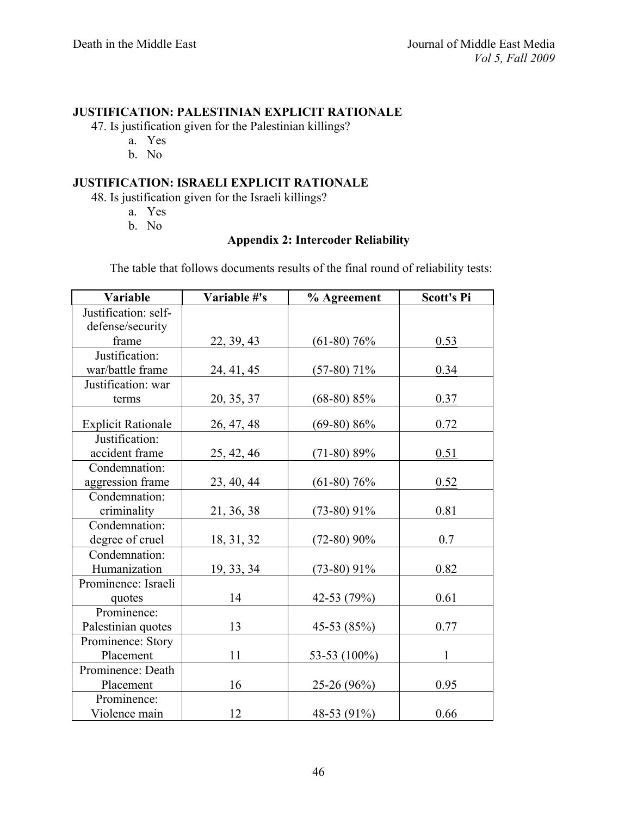## **JUSTIFICATION: PALESTINIAN EXPLICIT RATIONALE**

47. Is justification given for the Palestinian killings?

- a. Yes
- b. No

# **JUSTIFICATION: ISRAELI EXPLICIT RATIONALE**

48. Is justification given for the Israeli killings?

- a. Yes
- b. No

# **Appendix 2: Intercoder Reliability**

The table that follows documents results of the final round of reliability tests:

| Variable                  | Variable #'s | % Agreement   | <b>Scott's Pi</b> |
|---------------------------|--------------|---------------|-------------------|
| Justification: self-      |              |               |                   |
| defense/security          |              |               |                   |
| frame                     | 22, 39, 43   | $(61-80)$ 76% | 0.53              |
| Justification:            |              |               |                   |
| war/battle frame          | 24, 41, 45   | $(57-80)$ 71% | 0.34              |
| Justification: war        |              |               |                   |
| terms                     | 20, 35, 37   | $(68-80) 85%$ | 0.37              |
| <b>Explicit Rationale</b> | 26, 47, 48   | $(69-80) 86%$ | 0.72              |
| Justification:            |              |               |                   |
| accident frame            | 25, 42, 46   | $(71-80) 89%$ | 0.51              |
| Condemnation:             |              |               |                   |
| aggression frame          | 23, 40, 44   | $(61-80)$ 76% | 0.52              |
| Condemnation:             |              |               |                   |
| criminality               | 21, 36, 38   | $(73-80)$ 91% | 0.81              |
| Condemnation:             |              |               |                   |
| degree of cruel           | 18, 31, 32   | $(72-80)$ 90% | 0.7               |
| Condemnation:             |              |               |                   |
| Humanization              | 19, 33, 34   | $(73-80)$ 91% | 0.82              |
| Prominence: Israeli       |              |               |                   |
| quotes                    | 14           | 42-53 (79%)   | 0.61              |
| Prominence:               |              |               |                   |
| Palestinian quotes        | 13           | 45-53 (85%)   | 0.77              |
| Prominence: Story         |              |               |                   |
| Placement                 | 11           | 53-53 (100%)  | $\mathbf{1}$      |
| Prominence: Death         |              |               |                   |
| Placement                 | 16           | $25-26(96%)$  | 0.95              |
| Prominence:               |              |               |                   |
| Violence main             | 12           | 48-53 (91%)   | 0.66              |